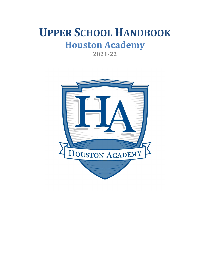# **UPPER SCHOOL HANDBOOK Houston Academy**

**2021-22**

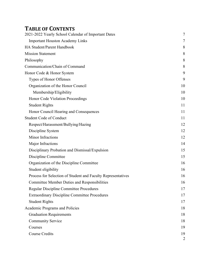# **TABLE OF CONTENTS**

| 2021-2022 Yearly School Calendar of Important Dates          | $\tau$         |
|--------------------------------------------------------------|----------------|
| <b>Important Houston Academy Links</b>                       | 7              |
| <b>HA Student/Parent Handbook</b>                            | 8              |
| <b>Mission Statement</b>                                     | 8              |
| Philosophy                                                   | 8              |
| Communication/Chain of Command                               | 8              |
| Honor Code & Honor System                                    | 9              |
| Types of Honor Offenses                                      | 9              |
| Organization of the Honor Council                            | 10             |
| Membership/Eligibility                                       | 10             |
| Honor Code Violation Proceedings                             | 10             |
| <b>Student Rights</b>                                        | 11             |
| Honor Council Hearing and Consequences                       | 11             |
| <b>Student Code of Conduct</b>                               | 11             |
| Respect/Harassment/Bullying/Hazing                           | 12             |
| Discipline System                                            | 12             |
| Minor Infractions                                            | 12             |
| Major Infractions                                            | 14             |
| Disciplinary Probation and Dismissal/Expulsion               | 15             |
| Discipline Committee                                         | 15             |
| Organization of the Discipline Committee                     | 16             |
| Student eligibility                                          | 16             |
| Process for Selection of Student and Faculty Representatives | 16             |
| <b>Committee Member Duties and Responsibilities</b>          | 16             |
| <b>Regular Discipline Committee Procedures</b>               | 17             |
| <b>Extraordinary Discipline Committee Procedures</b>         | 17             |
| <b>Student Rights</b>                                        | 17             |
| Academic Programs and Policies                               | 18             |
| <b>Graduation Requirements</b>                               | 18             |
| <b>Community Service</b>                                     | 18             |
| Courses                                                      | 19             |
| <b>Course Credits</b>                                        | 19             |
|                                                              | $\overline{2}$ |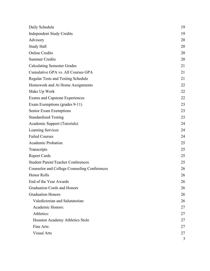| Daily Schedule                                      | 19 |
|-----------------------------------------------------|----|
| <b>Independent Study Credits</b>                    | 19 |
| Advisory                                            | 20 |
| Study Hall                                          | 20 |
| <b>Online Credits</b>                               | 20 |
| <b>Summer Credits</b>                               | 20 |
| <b>Calculating Semester Grades</b>                  | 21 |
| Cumulative GPA vs. All Courses GPA                  | 21 |
| <b>Regular Tests and Testing Schedule</b>           | 21 |
| Homework and At Home Assignments                    | 22 |
| Make Up Work                                        | 22 |
| <b>Exams and Capstone Experiences</b>               | 22 |
| Exam Exemptions (grades 9-11)                       | 23 |
| Senior Exam Exemptions                              | 23 |
| <b>Standardized Testing</b>                         | 23 |
| Academic Support (Tutorials)                        | 24 |
| <b>Learning Services</b>                            | 24 |
| <b>Failed Courses</b>                               | 24 |
| Academic Probation                                  | 25 |
| Transcripts                                         | 25 |
| <b>Report Cards</b>                                 | 25 |
| <b>Student Parent/Teacher Conferences</b>           | 25 |
| <b>Counselor and College Counseling Conferences</b> | 26 |
| <b>Honor Rolls</b>                                  | 26 |
| End of the Year Awards                              | 26 |
| Graduation Cords and Honors                         | 26 |
| <b>Graduation Honors</b>                            | 26 |
| Valedictorian and Salutatorian:                     | 26 |
| Academic Honors:                                    | 27 |
| Athletics:                                          | 27 |
| Houston Academy Athletics Stole                     | 27 |
| Fine Arts:                                          | 27 |
| <b>Visual Arts</b>                                  | 27 |
|                                                     | 3  |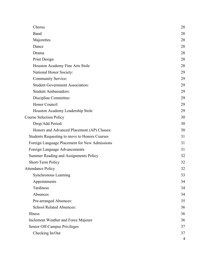| Chorus                                        | 28             |
|-----------------------------------------------|----------------|
| Band                                          | 28             |
| Majorettes                                    | 28             |
| Dance                                         | 28             |
| Drama                                         | 28             |
| Print Design                                  | 28             |
| Houston Academy Fine Arts Stole               | 28             |
| National Honor Society:                       | 29             |
| <b>Community Service:</b>                     | 29             |
| <b>Student Government Association:</b>        | 29             |
| <b>Student Ambassadors:</b>                   | 29             |
| Discipline Committee:                         | 29             |
| Honor Council                                 | 29             |
| Houston Academy Leadership Stole              | 29             |
| <b>Course Selection Policy</b>                | 30             |
| Drop/Add Period:                              | 30             |
| Honors and Advanced Placement (AP) Classes:   | 30             |
| Students Requesting to move to Honors Courses | 31             |
| Foreign Language Placement for New Admissions | 31             |
| Foreign Language Advancements                 | 31             |
| Summer Reading and Assignments Policy         | 32             |
| Short-Term Policy                             | 32             |
| <b>Attendance Policy</b>                      | 32             |
| <b>Synchronous Learning</b>                   | 33             |
| Appointments                                  | 34             |
| Tardiness                                     | 34             |
| Absences                                      | 34             |
| Pre-arranged Absences:                        | 35             |
| <b>School Related Absences:</b>               | 36             |
| Illness                                       | 36             |
| Inclement Weather and Force Majeure           | 36             |
| Senior Off-Campus Privileges                  | 37             |
| Checking In/Out                               | 37             |
|                                               | $\overline{4}$ |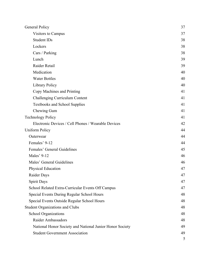| General Policy                                           | 37 |
|----------------------------------------------------------|----|
| Visitors to Campus                                       | 37 |
| <b>Student IDs</b>                                       | 38 |
| Lockers                                                  | 38 |
| Cars / Parking                                           | 38 |
| Lunch                                                    | 39 |
| Raider Retail                                            | 39 |
| Medication                                               | 40 |
| <b>Water Bottles</b>                                     | 40 |
| <b>Library Policy</b>                                    | 40 |
| Copy Machines and Printing                               | 41 |
| Challenging Curriculum Content                           | 41 |
| <b>Textbooks and School Supplies</b>                     | 41 |
| Chewing Gum                                              | 41 |
| <b>Technology Policy</b>                                 | 41 |
| Electronic Devices / Cell Phones / Wearable Devices      | 42 |
| <b>Uniform Policy</b>                                    | 44 |
| Outerwear                                                | 44 |
| Females' 9-12                                            | 44 |
| Females' General Guidelines                              | 45 |
| Males' 9-12                                              | 46 |
| Males' General Guidelines                                | 46 |
| Physical Education                                       | 47 |
| Raider Days                                              | 47 |
| <b>Spirit Days</b>                                       | 47 |
| School Related Extra-Curricular Events Off Campus        | 47 |
| Special Events During Regular School Hours               | 48 |
| Special Events Outside Regular School Hours              | 48 |
| <b>Student Organizations and Clubs</b>                   | 48 |
| <b>School Organizations</b>                              | 48 |
| Raider Ambassadors                                       | 48 |
| National Honor Society and National Junior Honor Society | 49 |
| <b>Student Government Association</b>                    | 49 |
|                                                          | 5  |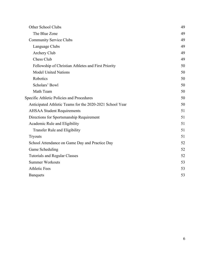| Other School Clubs                                       | 49 |
|----------------------------------------------------------|----|
| The Blue Zone                                            | 49 |
| <b>Community Service Clubs</b>                           | 49 |
| Language Clubs                                           | 49 |
| Archery Club                                             | 49 |
| Chess Club                                               | 49 |
| Fellowship of Christian Athletes and First Priority      | 50 |
| <b>Model United Nations</b>                              | 50 |
| Robotics                                                 | 50 |
| Scholars' Bowl                                           | 50 |
| Math Team                                                | 50 |
| Specific Athletic Policies and Procedures                | 50 |
| Anticipated Athletic Teams for the 2020-2021 School Year | 50 |
| <b>AHSAA Student Requirements</b>                        | 51 |
| Directions for Sportsmanship Requirement                 | 51 |
| Academic Rule and Eligibility                            | 51 |
| Transfer Rule and Eligibility                            | 51 |
| <b>Tryouts</b>                                           | 51 |
| School Attendance on Game Day and Practice Day           | 52 |
| Game Scheduling                                          | 52 |
| <b>Tutorials and Regular Classes</b>                     | 52 |
| <b>Summer Workouts</b>                                   | 53 |
| <b>Athletic Fees</b>                                     | 53 |
| <b>Banquets</b>                                          | 53 |
|                                                          |    |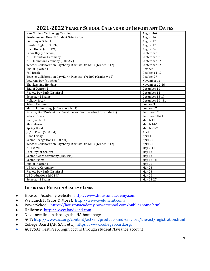| 2021-2022 YEARLY SCHOOL CALENDAR OF IMPORTANT DATES |  |
|-----------------------------------------------------|--|
|-----------------------------------------------------|--|

| New Student Technology Training                                     | August 4-6         |
|---------------------------------------------------------------------|--------------------|
| Freshmen and New US Student Orientation                             | August 16          |
| First Day of School                                                 | August 17          |
| Booster Night (5:30 PM)                                             | August 17          |
| Open House (6:00 PM)                                                | August 24          |
| Labor Day (no school)                                               | September 6        |
| <b>NJHS Induction Ceremony</b>                                      | September 21       |
| NHS Induction Ceremony (8:00 AM)                                    | September 22       |
| Teacher Collaboration Day/Early Dismissal @ 12:00 (Grades 9-12)     | September 22       |
| End of Quarter 1                                                    | October 8          |
| <b>Fall Break</b>                                                   | October 11-12      |
| Teacher Collaboration Day/Early Dismissal @12:00 (Grades 9-12)      | October 27         |
| Veterans Day (no school)                                            | November 11        |
| Thanksgiving Holidays                                               | November 22-26     |
| End of Quarter 2                                                    | December 10        |
| Review Day Early Dismissal                                          | December 14        |
| Semester 1 Exams                                                    | December 15-17     |
| <b>Holiday Break</b>                                                | December 20 - 31   |
| <b>School Resumes</b>                                               | January 3          |
| Martin Luther King, Jr. Day (no school)                             | January 17         |
| Faculty/Staff Professional Development Day (no school for students) | February 17        |
| <b>Winter Break</b>                                                 | February 18-21     |
| End Quarter 3                                                       | March 11           |
| Short-Term                                                          | March 14-18        |
| <b>Spring Break</b>                                                 | <b>March 21-25</b> |
| Jr./Sr. Prom (5:00 PM)                                              | April 8            |
| Good Friday                                                         | April 15           |
| Senior Recognition [11:00 AM]                                       | April 27           |
| Teacher Collaboration Day/Early Dismissal @ 12:00 (Grades 9-12)     | April 27           |
| <b>AP Exams</b>                                                     | May 2-14           |
| Last Day for Seniors                                                | May 13             |
| Senior Award Ceremony (2:00 PM)                                     | May 13             |
| <b>Senior Exams</b>                                                 | May 16-18          |
| End of Quarter 4                                                    | May 20             |
| <b>US Award Ceremony</b>                                            | May 23             |
| Review Day Early Dismissal                                          | May 23             |
| US Graduation (6:00 PM)                                             | May 26             |
| Semester 2 Exams                                                    | May 24-27          |

# **IMPORTANT HOUSTON ACADEMY LINKS**

- Houston Academy website: http://www.houstonacademy.com
- We Lunch It (Subs & More): http://www.welunchit.com/
- PowerSchool: https://houstonacademy.powerschool.com/public/home.html
- Uniforms: http://www.landsend.com
- Naviance: link in through the HA homepage
- ACT: http://www.act.org/content/act/en/products-and-services/the-act/registration.html
- College Board (AP, SAT, etc.): https://www.collegeboard.org/
- ACT/SAT Test Prep: login occurs through student Naviance account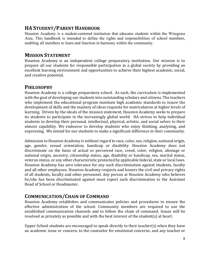# **HA STUDENT** / **PARENT HANDBOOK**

Houston Academy is a student-centered institution that educates students within the Wiregrass Area. This handbook is intended to define the rights and responsibilities of school members, enabling all members to learn and function in harmony within the community.

# **MISSION STATEMENT**

Houston Academy is an independent college preparatory institution. Our mission is to prepare all our students for responsible participation in a global society by providing an excellent learning environment and opportunities to achieve their highest academic, social, and creative potential.

# **PHILOSOPHY**

Houston Academy is a college preparatory school. As such, the curriculum is implemented with the goal of developing our students into outstanding scholars and citizens. The teachers who implement the educational program maintain high academic standards to insure the development of skills and the mastery of ideas requisite for matriculation at higher levels of learning. Driven by the ideals of the mission statement, Houston Academy seeks to prepare its students to participate in the increasingly global world. HA strives to help individual students to develop their personal, intellectual, physical, artistic, and social selves to their utmost capability. We endeavor to develop students who enjoy thinking, analyzing, and expressing. We intend for our students to make a significant difference in their community.

Admission to Houston Academy is without regard to race, color, sex, religion, national origin, age, gender, sexual orientation, handicap or disability. Houston Academy does not discriminate on the basis of actual or perceived race, creed, color, religion, alienage or national origin, ancestry, citizenship status, age, disability or handicap, sex, marital status, veteran status, or any other characteristic protected by applicable federal, state or local laws. Houston Academy has zero tolerance for any such discrimination against students, faculty and all other employees. Houston Academy respects and honors the civil and privacy rights of all students, faculty and other personnel. Any person at Houston Academy who believes he/she has been discriminated against must report such discrimination to the Assistant Head of School or Headmaster.

# **COMMUNICATION/CHAIN OF COMMAND**

Houston Academy establishes and communicates policies and procedures to ensure the effective administration of the school. Community members are required to use the established communication channels and to follow the chain of command. Issues will be resolved as privately as possible and with the best interest of the student(s) at heart.

Upper School students are encouraged to speak directly to their teacher(s) when they have an academic issue or concern, to the counselor for emotional concerns, and any teacher or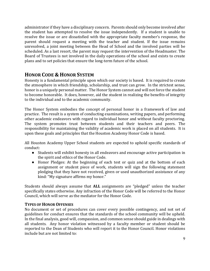administrator if they have a disciplinary concern. Parents should only become involved after the student has attempted to resolve the issue independently. If a student is unable to resolve the issue or are dissatisfied with the appropriate faculty member's response, the parent should request a meeting with the teacher and student. If the issue remains unresolved, a joint meeting between the Head of School and the involved parties will be scheduled. As a last resort, the parent may request the intervention of the Headmaster. The Board of Trustees is not involved in the daily operations of the school and exists to create plans and to set policies that ensure the long-term future of the school.

# **HONOR CODE & HONOR SYSTEM**

Honesty is a fundamental principle upon which our society is based. It is required to create the atmosphere in which friendship, scholarship, and trust can grow. In the strictest sense, honor is a uniquely personal matter. The Honor System cannot and will not force the student to become honorable. It does, however, aid the student in realizing the benefits of integrity to the individual and to the academic community.

The Honor System embodies the concept of personal honor in a framework of law and practice. The result is a system of conducting examinations, writing papers, and performing other academic endeavors with regard to individual honor and without faculty proctoring. The system promotes trust between students and their teachers and peers. The responsibility for maintaining the validity of academic work is placed on all students. It is upon these goals and principles that the Houston Academy Honor Code is based.

All Houston Academy Upper School students are expected to uphold specific standards of conduct:

- Students will exhibit honesty in all endeavors and encourage active participation in the spirit and ethics of the Honor Code.
- Honor Pledges: At the beginning of each test or quiz and at the bottom of each assignment or student piece of work, students will sign the following statement pledging that they have not received, given or used unauthorized assistance of any kind: "My signature affirms my honor."

Students should always assume that **ALL** assignments are "pledged" unless the teacher specifically states otherwise. Any infraction of the Honor Code will be referred to the Honor Council, which will serve as the mediator for the Honor Code.

# **TYPES OF HONOR OFFENSES**

No document or set of procedures can cover every possible contingency, and not set of guidelines for conduct ensures that the standards of the school community will be upheld. In the final analysis, good will, compassion, and common sense should guide in dealings with all students. Any honor violation witnessed by a faculty member or student should be reported to the Dean of Students who will report it to the Honor Council. Honor violations include but are not limited to: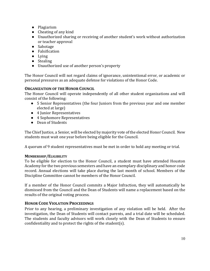- Plagiarism
- $\bullet$  Cheating of any kind
- Unauthorized sharing or receiving of another student's work without authorization or teacher approval
- Sabotage
- Falsification
- Lying
- Stealing
- Unauthorized use of another person's property

The Honor Council will not regard claims of ignorance, unintentional error, or academic or personal pressures as an adequate defense for violations of the Honor Code.

# **ORGANIZATION OF THE HONOR COUNCIL**

The Honor Council will operate independently of all other student organizations and will consist of the following:

- 5 Senior Representatives (the four Juniors from the previous year and one member elected at large)
- 4 Junior Representatives
- 4 Sophomore Representatives
- Dean of Students

The Chief Justice, a Senior, will be elected by majority vote of the elected Honor Council. New students must wait one year before being eligible for the Council.

A quorum of 9 student representatives must be met in order to hold any meeting or trial.

#### **MEMBERSHIP/ELIGIBILITY**

To be eligible for election to the Honor Council, a student must have attended Houston Academy for the two previous semesters and have an exemplary disciplinary and honor code record. Annual elections will take place during the last month of school. Members of the Discipline Committee cannot be members of the Honor Council.

If a member of the Honor Council commits a Major Infraction, they will automatically be dismissed from the Council and the Dean of Students will name a replacement based on the results of the original voting process.

# **HONOR CODE VIOLATION PROCEEDINGS**

Prior to any hearing, a preliminary investigation of any violation will be held. After the investigation, the Dean of Students will contact parents, and a trial date will be scheduled. The students and faculty advisors will work closely with the Dean of Students to ensure confidentiality and to protect the rights of the student(s).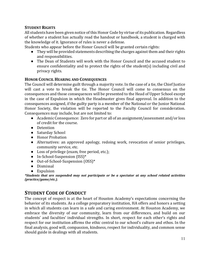# **STUDENT RIGHTS**

All students have been given notice of this Honor Code by virtue of its publication. Regardless of whether a student has actually read the handout or handbook, a student is charged with the knowledge of it. Ignorance of rules is never a defense.

Students who appear before the Honor Council will be granted certain rights:

- They will be provided statements describing the charges against them and their rights and responsibilities.
- The Dean of Students will work with the Honor Council and the accused student to ensure confidentiality and to protect the rights of the student(s) including civil and privacy rights.

# **HONOR COUNCIL HEARING AND CONSEQUENCES**

The Council will determine guilt through a majority vote. In the case of a tie, the Chief Justice will cast a vote to break the tie. The Honor Council will come to consensus on the consequences and those consequences will be presented to the Head of Upper School except in the case of Expulsion in which the Headmaster gives final approval. In addition to the consequences assigned, if the guilty party is a member of the National or the Junior National Honor Society, the violation will be reported to the Faculty Council for consideration. Consequences may include, but are not limited to:

- Academic Consequence: Zero for part or all of an assignment/assessment and/or loss of credit for the course.
- Detention
- Saturday School
- Honor Probation
- Alternatives: an approved apology, redoing work, revocation of senior privileges, community service, etc.
- Loss of privilege (exam, free period, etc.);
- In-School-Suspension (ISS)\*
- Out-of-School-Suspension (OSS)\*
- Dismissal
- Expulsion

*\*Students that are suspended may not participate or be a spectator at any school related activities (practice/game/etc.).*

# **STUDENT CODE OF CONDUCT**

The concept of respect is at the heart of Houston Academy's expectations concerning the behavior of its students. As a college preparatory institution, HA offers and honors a setting in which all students can learn in a safe and caring environment. At Houston Academy, we embrace the diversity of our community, learn from our differences, and build on our students' and faculties' individual strengths. In short, respect for each other's rights and respect for our institution affirms the ethic central to our school's culture and ethos. In the final analysis, good will, compassion, kindness, respect for individuality, and common sense should guide in dealings with all students.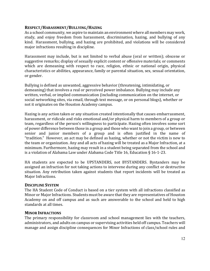#### **RESPECT/HARASSMENT/BULLYING/HAZING**

As a school community, we aspire to maintain an environment where all members may work, study, and enjoy freedom from harassment, discrimination, hazing, and bullying of any kind. Harassment, bullying, and hazing are prohibited, and violations will be considered major infractions resulting in discipline.

Harassment may include, but is not limited to verbal abuse (oral or written); obscene or suggestive remarks; display of sexually explicit content or offensive materials; or comments which are demeaning with respect to race, religion, ethnic or national origin, physical characteristics or abilities, appearance, family or parental situation, sex, sexual orientation, or gender.

Bullying is defined as unwanted, aggressive behavior (threatening, intimidating, or demeaning) that involves a real or perceived power imbalance. Bullying may include any written, verbal, or implied communication (including communication on the internet, or social networking sites, via email, through text message, or on personal blogs), whether or not it originates on the Houston Academy campus.

Hazing is any action taken or any situation created intentionally that causes embarrassment, harassment, or ridicule and risks emotional and/or physical harm to members of a group or team, regardless of the person's willingness to participate. Hazing often involves some sort of power difference between those in a group and those who want to join a group, or between senior and junior members of a group and is often justified in the name of "tradition." However, an act may be defined as hazing, whether or not the victim is new to the team or organization. Any and all acts of hazing will be treated as a Major Infraction, at a minimum. Furthermore, hazing may result in a student being separated from the school and is a violation of Alabama Law under Alabama Code Title 16, Education § 16-1-23.

HA students are expected to be UPSTANDERS, not BYSTANDERS. Bystanders may be assigned an infraction for not taking actions to intervene during any conflict or destructive situation. Any retribution taken against students that report incidents will be treated as Major Infractions.

#### **DISCIPLINE SYSTEM**

The HA Student Code of Conduct is based on a tier system with all infractions classified as Minor or Major Infractions. Students must be aware that they are representatives of Houston Academy on and off campus and as such are answerable to the school and held to high standards at all times.

#### **MINOR INFRACTIONS**

The primary responsibility for classroom and school management lies with the teachers, administrators, and adults on campus or supervising activities held off campus. Teachers will manage and assign discipline consequences for Minor Infractions of class/school rules and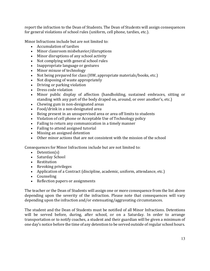report the infraction to the Dean of Students. The Dean of Students will assign consequences for general violations of school rules (uniform, cell phone, tardies, etc.).

Minor Infractions include but are not limited to:

- Accumulation of tardies
- Minor classroom misbehavior/disruptions
- Minor disruptions of any school activity
- Not complying with general school rules
- Inappropriate language or gestures
- Minor misuse of technology
- Not being prepared for class (HW, appropriate materials/books, etc.)
- Not disposing of waste appropriately
- Driving or parking violation
- Dress code violation
- Minor public display of affection (handholding, sustained embraces, sitting or standing with any part of the body draped on, around, or over another's, etc.)
- Chewing gum in non-designated areas
- Food/drink in a non-designated area
- Being present in an unsupervised area or area off limits to students
- Violation of cell phone or Acceptable Use of Technology policy
- Failing to return any communication in a timely manner
- Failing to attend assigned tutorial
- Missing an assigned detention
- Other minor actions that are not consistent with the mission of the school

Consequences for Minor Infractions include but are not limited to:

- Detention(s)
- Saturday School
- Restitution
- Revoking privileges
- Application of a Contract (discipline, academic, uniform, attendance, etc.)
- Counseling
- Reflection papers or assignments

The teacher or the Dean of Students will assign one or more consequence from the list above depending upon the severity of the infraction. Please note that consequences will vary depending upon the infraction and/or extenuating/aggravating circumstances.

The student and the Dean of Students must be notified of all Minor Infractions. Detentions will be served before, during, after school, or on a Saturday. In order to arrange transportation or to notify coaches, a student and their guardian will be given a minimum of one day's notice before the time of any detention to be served outside of regular school hours.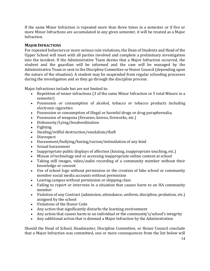If the same Minor Infraction is repeated more than three times in a semester or if five or more Minor Infractions are accumulated in any given semester, it will be treated as a Major Infraction.

# **MAJOR INFRACTIONS**

For repeated behaviors or more serious rule violations, the Dean of Students and Head of the Upper School will meet with all parties involved and complete a preliminary investigation into the incident. If the Administrative Team deems that a Major Infraction occurred, the student and the guardian will be informed and the case will be managed by the Administrative Team or sent to the Discipline Committee or Honor Council (depending upon the nature of the situation). A student may be suspended from regular schooling processes during the investigation and as they go through the discipline process.

Major Infractions include but are not limited to:

- Repetition of minor infractions (3 of the same Minor Infraction or 5 total Minors in a semester)
- Possession or consumption of alcohol, tobacco or tobacco products including electronic cigarettes
- Possession or consumption of illegal or harmful drugs or drug paraphernalia;
- Possession of weapons (firearms, knives, fireworks, etc.)
- Dishonesty/Lying/Insubordination
- Fighting
- Stealing/willful destruction/vandalism/theft
- Disrespect
- Harassment/bullying/hazing/racism/intimidation of any kind
- Sexual harassment
- Inappropriate public displays of affection (kissing, inappropriate touching, etc.)
- Misuse of technology and or accessing inappropriate online content at school
- Taking still images, video/audio recording of a community member without their knowledge or consent
- Use of school logo without permission or the creation of fake school or community member social media accounts without permission
- Leaving campus without permission or skipping class
- Failing to report or intervene in a situation that causes harm to an HA community member
- Violation of any Contract (admission, attendance, uniform, discipline, probation, etc.) assigned by the school
- Violations of the Honor Code
- Any action that significantly disturbs the learning environment
- Any action that causes harm to an individual or the community's/school's integrity
- Any additional action that is deemed a Major Infraction by the Administration

Should the Head of School, Headmaster, Discipline Committee, or Honor Council conclude that a Major Infraction was committed, one or more consequences from the list below will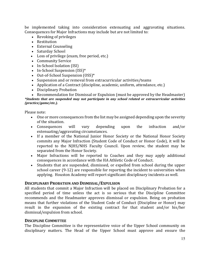be implemented taking into consideration extenuating and aggravating situations. Consequences for Major Infractions may include but are not limited to:

- $\bullet$  Revoking of privileges
- Restitution
- External Counseling
- Saturday School
- Loss of privilege (exam, free period, etc.)
- Community Service
- In-School Isolation (ISI)
- In-School Suspension  $(ISS)^*$
- Out-of-School Suspension (OSS)\*
- Suspension and or removal from extracurricular activities/teams
- Application of a Contract (discipline, academic, uniform, attendance, etc.)
- Disciplinary Probation

• Recommendation for Dismissal or Expulsion (must be approved by the Headmaster) *\*Students that are suspended may not participate in any school related or extracurricular activities (practice/game/etc.).*

Please note:

- One or more consequences from the list may be assigned depending upon the severity of the situation.
- Consequences will vary depending upon the infraction and/or extenuating/aggravating circumstances.
- If a member of the National Junior Honor Society or the National Honor Society commits any Major Infraction (Student Code of Conduct or Honor Code), it will be reported to the NJHS/NHS Faculty Council. Upon review, the student may be separated from the Honor Society.
- Major Infractions will be reported to Coaches and they may apply additional consequences in accordance with the HA Athletic Code of Conduct.
- Students that are suspended, dismissed, or expelled from school during the upper school career  $(9-12)$  are responsible for reporting the incident to universities when applying. Houston Academy will report significant disciplinary incidents as well.

#### **DISCIPLINARY PROBATION AND DISMISSAL/EXPULSION**

All students that commit a Major Infraction will be placed on Disciplinary Probation for a specified period of time unless the act is so serious that the Discipline Committee recommends and the Headmaster approves dismissal or expulsion. Being on probation means that further violations of the Student Code of Conduct (Discipline or Honor) may result in the expansion of the existing contract for that student and/or his/her dismissal/expulsion from school.

#### **DISCIPLINE COMMITTEE**

The Discipline Committee is the representative voice of the Upper School community on disciplinary matters. The Head of the Upper School must approve and ensure the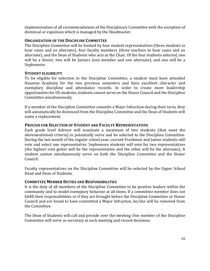implementation of all recommendations of the Disciplinary Committee with the exception of dismissal or expulsion which is managed by the Headmaster.

### **ORGANIZATION OF THE DISCIPLINE COMMITTEE**

The Discipline Committee will be formed by four student representatives (three students to hear cases and an alternate), four faculty members (three teachers to hear cases and an alternate), and the Dean of Students who acts as the Chair. Of the four students selected, one will be a Senior, two will be Juniors (one member and one alternate), and one will be a Sophomore.

# **STUDENT ELIGIBILITY**

To be eligible for selection to the Discipline Committee, a student must have attended Houston Academy for the two previous semesters and have excellent character and exemplary discipline and attendance records. In order to create more leadership opportunities for US students, students cannot serve on the Honor Council and the Discipline Committee simultaneously.

If a member of the Discipline Committee commits a Major Infraction during their term, they will automatically be dismissed from the Discipline Committee and the Dean of Students will name a replacement.

#### **PROCESS FOR SELECTION OF STUDENT AND FACULTY REPRESENTATIVES**

Each grade level Advisor will nominate a maximum of two students (that meet the aforementioned criteria) to potentially serve and be selected to the Discipline Committee. During the last month of the regular school year, current Freshmen and Junior students will vote and select one representative. Sophomore students will vote for two representatives (the highest vote getter will be the representative and the other will be the alternate). A student cannot simultaneously serve on both the Discipline Committee and the Honor Council.

Faculty representatives on the Discipline Committee will be selected by the Upper School Head and Dean of Students.

#### **COMMITTEE MEMBER DUTIES AND RESPONSIBILITIES**

It is the duty of all members of the Discipline Committee to be positive leaders within the community and to model exemplary behavior at all times. If a committee member does not fulfill their responsibilities or if they are brought before the Discipline Committee or Honor Council and are found to have committed a Major Infraction, he/she will be removed from the Committee.

The Dean of Students will call and preside over the meeting. One member of the Discipline Committee will serve as secretary at each meeting and record decisions.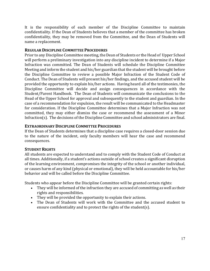It is the responsibility of each member of the Discipline Committee to maintain confidentiality. If the Dean of Students believes that a member of the committee has broken confidentiality, they may be removed from the Committee, and the Dean of Students will name a replacement.

### **REGULAR DISCIPLINE COMMITTEE PROCEDURES**

Prior to any Discipline Committee meeting, the Dean of Students or the Head of Upper School will perform a preliminary investigation into any discipline incident to determine if a Major Infraction was committed. The Dean of Students will schedule the Discipline Committee Meeting and inform the student and his/her guardian that the student will be brought before the Discipline Committee to review a possible Major Infraction of the Student Code of Conduct. The Dean of Students will present his/her findings, and the accused student will be provided the opportunity to explain his/her actions. Having heard all of the testimonies, the Discipline Committee will decide and assign consequences in accordance with the Student/Parent Handbook. The Dean of Students will communicate the conclusions to the Head of the Upper School for approval and subsequently to the student and guardian. In the case of a recommendation for expulsion, the result will be communicated to the Headmaster for consideration. If the Discipline Committee determines that a Major Infraction was not committed, they may either dismiss the case or recommend the assessment of a Minor Infraction(s). The decisions of the Discipline Committee and school administrators are final.

# **EXTRAORDINARY DISCIPLINE COMMITTEE PROCEDURES**

If the Dean of Students determines that a discipline case requires a closed-door session due to the nature of the incident, only faculty members will hear the case and recommend consequences.

# **STUDENT RIGHTS**

All students are expected to understand and to comply with the Student Code of Conduct at all times. Additionally, if a student's actions outside of school creates a significant disruption of the learning environment, compromises the integrity of the school or another individual, or causes harm of any kind (physical or emotional), they will be held accountable for his/her behavior and will be called before the Discipline Committee.

Students who appear before the Discipline Committee will be granted certain rights:

- They will be informed of the infraction they are accused of committing as well as their rights and responsibilities.
- They will be provided the opportunity to explain their actions.
- The Dean of Students will work with the Committee and the accused student to ensure confidentiality and to protect the rights of the student(s).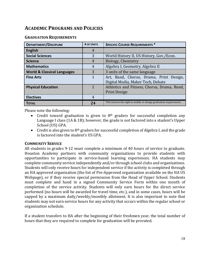# **ACADEMIC PROGRAMS AND POLICIES**

#### **GRADUATION REQUIREMENTS**

| <b>DEPARTMENT/DISCIPLINE</b>           | # OF UNITS | <b>SPECIFIC COURSE REQUIREMENTS *</b>                                        |
|----------------------------------------|------------|------------------------------------------------------------------------------|
| <b>English</b>                         | 4          |                                                                              |
| <b>Social Sciences</b>                 | 3          | World History II, US History, Gov./Econ.                                     |
| <b>Science</b>                         | 4          | Biology, Chemistry                                                           |
| <b>Mathematics</b>                     | 4          | Algebra I, Geometry, Algebra II                                              |
| <b>World &amp; Classical Languages</b> | 3          | 3 units of the same language                                                 |
| <b>Fine Arts</b>                       |            | Art, Band, Chorus, Drama, Print Design,<br>Digital Media, Maker Tech, Debate |
| <b>Physical Education</b>              |            | Athletics and Fitness, Chorus, Drama, Band,<br><b>Print Design</b>           |
| <b>Electives</b>                       | 4          |                                                                              |
| <b>TOTAL</b>                           | 24         | *HA reserves the right to modify or change graduation requirements.          |

Please note the following:

- Credit toward graduation is given to  $8<sup>th</sup>$  graders for successful completion any Language I class  $(1A & 1B)$ ; however, the grade is not factored into a student's Upper School (US) GPA.
- Credit is also given to  $8<sup>th</sup>$  graders for successful completion of Algebra I, and the grade is factored into the student's US GPA.

#### **COMMUNITY SERVICE**

All students in grades 9-12 must complete a minimum of 40 hours of service to graduate. Houston Academy partners with community organizations to provide students with opportunities to participate in service-based learning experiences. HA students may complete community service independently and/or through school clubs and organizations. Students will only receive hours for independent service if the activity is completed through an HA approved organization (the list of Pre-Approved organization available on the HA US Webpage), or if they receive special permission from the Head of Upper School. Students must complete and hand in a signed Community Service Form within one month of completion of the service activity. Students will only earn hours for the direct service performed (no hours will be awarded for travel time, etc.), and in some cases, hours will be capped by a maximum daily/weekly/monthly allotment. It is also important to note that students may not earn service hours for any activity that occurs within the regular school or organization schedule.

If a student transfers to HA after the beginning of their freshmen year, the total number of hours that they are required to complete for graduation will be prorated.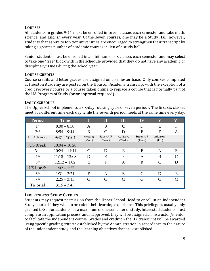# **COURSES**

All students in grades 9-11 must be enrolled in seven classes each semester and take math, science, and English every year. Of the seven courses, one may be a Study Hall; however, students that aspire to top tier universities are encouraged to strengthen their transcript by taking a greater number of academic courses in lieu of a study hall.

Senior students must be enrolled in a minimum of six classes each semester and may select to take one "free" block within the schedule provided that they do not have any academic or disciplinary issues during the school year.

# **COURSE CREDITS**

Course credits and letter grades are assigned on a semester basis. Only courses completed at Houston Academy are posted on the Houston Academy transcript with the exception of a credit recovery course or a course taken online to replace a course that is normally part of the HA Program of Study (prior approval required).

# **DAILY SCHEDULE**

The Upper School implements a six-day rotating cycle of seven periods. The first six classes meet at a different time each day while the seventh period meets at the same time every day.

| Period             | <b>Time</b>     |                   | П                    | Ш                  | $\overline{\mathbf{IV}}$ | $\overline{\mathbf{V}}$ | VI        |
|--------------------|-----------------|-------------------|----------------------|--------------------|--------------------------|-------------------------|-----------|
| 1 <sup>st</sup>    | $8:00 - 8:50$   | A                 | B                    | C                  | D                        | Е                       | F         |
| 2 <sub>nd</sub>    | $8:54 - 9:44$   | B                 | $\subset$            | D                  | E                        | F                       | A         |
| <b>US Advisory</b> | $9:47 - 10:04$  | Meeting<br>(Mon.) | Super A-F<br>(Tues.) | Advisory<br>(Wed.) | Super A-F<br>(Tues.)     | Advisory<br>(Fri.)      |           |
| <b>US Break</b>    | $10:04 - 10:20$ |                   |                      |                    |                          |                         |           |
| 3 <sup>rd</sup>    | $10:24 - 11:14$ | $\mathsf{C}$      | D                    | Е                  | F                        | A                       | B         |
| 4 <sup>th</sup>    | $11:18 - 12:08$ | D                 | E                    | F                  | A                        | B                       | $\subset$ |
| 5 <sup>th</sup>    | $12:12 - 1:02$  | E                 | F                    | A                  | B                        | $\subset$               | D         |
| <b>US Lunch</b>    | $1:02 - 1:27$   |                   |                      |                    |                          |                         |           |
| 6 <sup>th</sup>    | $1:31 - 2:21$   | $\mathbf{F}$      | A                    | B                  | $\subset$                | D                       | E         |
| 7th                | $2:25 - 3:15$   | G                 | G                    | G                  | G                        | G                       | G         |
| Tutorial           | $3:15 - 3:45$   |                   |                      |                    |                          |                         |           |

# **INDEPENDENT STUDY CREDITS**

Students may request permission from the Upper School Head to enroll in an Independent Study course if they wish to broaden their learning experience. This privilege is usually only granted to Senior students for a maximum of one semester of study. Interested students must complete an application process, and if approved, they will be assigned an instructor/mentor to facilitate the independent course. Grades and credit on the HA transcript will be awarded using specific grading criteria established by the Administration in accordance to the nature of the independent study and the learning objectives that are established.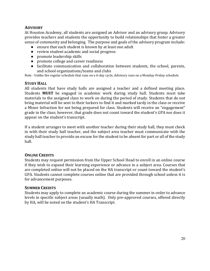# **ADVISORY**

At Houston Academy, all students are assigned an Advisor and an advisory group. Advisory provides teachers and students the opportunity to build relationships that foster a greater sense of community and belonging. The purpose and goals of the advisory program include:

- ensure that each student is known by at least one adult
- review student academic and social progress
- promote leadership skills
- promote college and career readiness
- facilitate communication and collaboration between students, the school, parents, and school organizations/teams and clubs

Note - Unlike the regular schedule that runs on a 6-day cycle, Advisory runs on a Monday-Friday schedule.

#### **STUDY HALL**

All students that have study halls are assigned a teacher and a defined meeting place. Students **MUST** be engaged in academic work during study hall. Students must take materials to the assigned class to work on during the period of study. Students that do not bring material will be sent to their lockers to find it and marked tardy in the class or receive a Minor Infraction for not being prepared for class. Students will receive an "engagement" grade in the class; however, that grade does not count toward the student's GPA nor does it appear on the student's transcript.

If a student arranges to meet with another teacher during their study hall, they must check in with their study hall teacher, and the subject area teacher must communicate with the study hall teacher to provide an excuse for the student to be absent for part or all of the study hall.

#### **ONLINE CREDITS**

Students may request permission from the Upper School Head to enroll in an online course if they wish to expand their learning experience or advance in a subject area. Courses that are completed online will not be placed on the HA transcript or count toward the student's GPA. Students cannot complete courses online that are provided through school unless it is for advancement purposes.

#### **SUMMER CREDITS**

Students may apply to complete an academic course during the summer in order to advance levels in specific subject areas (usually math). Only pre-approved courses, offered directly by HA, will be noted on the student's HA Transcript.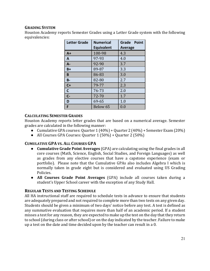# **GRADING SYSTEM**

Houston Academy reports Semester Grades using a Letter Grade system with the following equivalencies: 

| <b>Letter Grade</b> | <b>Numerical</b><br><b>Equivalent</b> | Grade Point<br><b>Average</b> |
|---------------------|---------------------------------------|-------------------------------|
| $A+$                | 100-98                                | 4.3                           |
| A                   | 97-93                                 | 4.0                           |
| А-                  | 92-90                                 | 3.7                           |
| B+                  | 89-87                                 | 3.3                           |
| B                   | 86-83                                 | 3.0                           |
| <b>B-</b>           | 82-80                                 | 2.7                           |
| $C +$               | 79-77                                 | 2.3                           |
| $\mathbf c$         | 76-73                                 | 2.0                           |
| $C -$               | 72-70                                 | 1.7                           |
| D                   | 69-65                                 | 1.0                           |
| F                   | Below 65                              | 0.0                           |

# **CALCULATING SEMESTER GRADES**

Houston Academy reports letter grades that are based on a numerical average. Semester grades are calculated in the following manner:

- Cumulative GPA courses: Quarter  $1(40\%)$  + Quarter  $2(40\%)$  + Semester Exam (20%)
- All Courses GPA Courses: Quarter  $1(50\%) +$  Quarter  $2(50\%)$

# **CUMULATIVE GPA VS. ALL COURSES GPA**

- **Cumulative Grade Point Averages** (GPA) are calculating using the final grades in all core courses (Math, Science, English, Social Studies, and Foreign Languages) as well as grades from any elective courses that have a capstone experience (exam or portfolio). Please note that the Cumulative GPAs also includes Algebra I which is normally taken in grade eight but is considered and evaluated using US Grading Policies.
- All Courses Grade Point Averages (GPA) include all courses taken during a student's Upper School career with the exception of any Study Hall.

#### **REGULAR TESTS AND TESTING SCHEDULE**

All HA instructional staff are required to schedule tests in advance to ensure that students are adequately prepared and not required to complete more than two tests on any given day. Students should be given a minimum of two days' notice before any test. A test is defined as any summative evaluation that requires more than half of an academic period. If a student misses a test for any reason, they are expected to make up the test on the day that they return to school (during class or after school) or on the day indicated by the teacher. Failure to make up a test on the date and time decided upon by the teacher can result in a 0.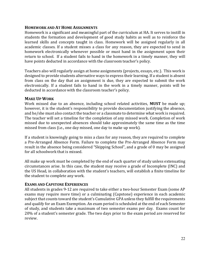#### **HOMEWORK AND AT HOME ASSIGNMENTS**

Homework is a significant and meaningful part of the curriculum at HA. It serves to instill in students the formation and development of good study habits as well as to reinforce the learned skills and concepts taught in class. Homework will be assigned regularly in all academic classes. If a student misses a class for any reason, they are expected to send in homework electronically whenever possible or must hand in the assignment upon their return to school. If a student fails to hand in the homework in a timely manner, they will have points deducted in accordance with the classroom teacher's policy.

Teachers also will regularly assign at home assignments (projects, essays, etc.). This work is designed to provide students alternative ways to express their learning. If a student is absent from class on the day that an assignment is due, they are expected to submit the work electronically. If a student fails to hand in the work in a timely manner, points will be deducted in accordance with the classroom teacher's policy.

#### **MAKE UP WORK**

Work missed due to an absence, including school related activities, MUST be made up; however, it is the student's responsibility to provide documentation justifying the absence, and he/she must also contact the teacher or a classmate to determine what work is required. The teacher will set a timeline for the completion of any missed work. Completion of work missed due to unexpected absences should take approximately the same time as the time missed from class (i.e., one day missed, one day to make up work).

If a student is knowingly going to miss a class for any reason, they are required to complete a Pre-Arranged Absence Form. Failure to complete the Pre-Arranged Absence Form may result in the absence being considered "Skipping School", and a grade of 0 may be assigned for all schoolwork that is missed.

All make up work must be completed by the end of each quarter of study unless extenuating circumstances arise. In this case, the student may receive a grade of Incomplete (INC) and the US Head, in collaboration with the student's teachers, will establish a finite timeline for the student to complete any work.

#### **EXAMS AND CAPSTONE EXPERIENCES**

All students in grades 9-12 are required to take either a two-hour Semester Exam (some AP exams may require more time) or a culminating (Capstone) experience in each academic subject that counts toward the student's Cumulative GPA unless they fulfill the requirements and qualify for an Exam Exemption. An exam period is scheduled at the end of each Semester of study, and students take a maximum of two semester exams per day. Exams count for 20% of a student's semester grade. The two days prior to the exam period are reserved for review.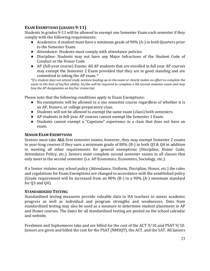# **EXAM EXEMPTIONS (GRADES 9-11)**

Students in grades 9-11 will be allowed to exempt one Semester Exam each semester if they comply with the following requirements:

- Academics: A student must have a minimum grade of 90%  $(A<sub>-</sub>)$  in both Quarters prior to the Semester Exam.
- Attendance: Students must comply with attendance policies.
- Discipline: Students may not have any Major Infractions of the Student Code of Conduct or the Honor Code.
- AP (full-year course) Exams: All AP students that are enrolled in full year AP courses may exempt the Semester 2 Exam provided that they are in good standing and are committed to taking the AP exam.  $*$

*\*If* a student does not attend study sessions leading up to the exam or clearly makes no effort to complete the *exam* to the best of his/her ability, he/she will be required to complete a HA second semester exam and may *lose the AP designation on his/her transcript.* 

Please note that the following conditions apply to Exam Exemptions:

- No exemptions will be allowed in a one semester course regardless of whether it is an AP, Honors, or college preparatory class.
- Students will not be allowed to exempt the same exam (class) both semesters.
- AP students in full-year AP courses cannot exempt the Semester 1 Exam.
- Students cannot exempt a "Capstone" experience in a class that does not have an exam.

### **SENIOR EXAM EXEMPTIONS**

Seniors must take **ALL** first semester exams; however, they may exempt Semester 2 exams in year-long courses if they earn a minimum grade of 80% (B-) in both Q3 & Q4 in addition to meeting all other requirements for general exemptions (Discipline, Honor Code, Attendance Policy, etc.). Seniors must complete second semester exams in all classes that only meet in the second semester (i.e. AP Economics, Economics, Sociology, etc.).

If a Senior violates any school policy (Attendance, Uniform, Discipline, Honor, etc.) the rules and regulations for Exam Exemptions are changed in accordance with the established policy (Grade requirement will be increased from an 80% (B-) to a 90% (A-) minimum standard for  $03$  and  $04$ ).

# **STANDARDIZED TESTING**

Standardized testing measures provide valuable data to HA teachers to assess academic progress as well as individual and program strengths and weaknesses. Data from standardized testing may also be used as a measure to determine student placement in AP and Honor courses. The dates for all standardized testing are posted on the school calendar and website.

Freshmen and Sophomores take and are billed for the cost of the ACT 9/10 and PSAT 9/10. Juniors are given and billed the cost for the PSAT (NMSQT), the ACT, and the SAT. All Juniors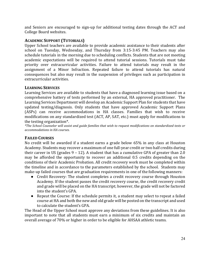and Seniors are encouraged to sign-up for additional testing dates through the ACT and College Board websites.

# **ACADEMIC SUPPORT (TUTORIALS)**

Upper School teachers are available to provide academic assistance to their students after school on Tuesday, Wednesday, and Thursday from 3:15-3:45 PM. Teachers may also schedule tutorials in the morning due to scheduling conflicts. Students that are not meeting academic expectations will be required to attend tutorial sessions. Tutorials must take priority over extracurricular activities. Failure to attend tutorials may result in the assignment of a Minor Infraction. Repeated failure to attend tutorials has natural consequences but also may result in the suspension of privileges such as participation in extracurricular activities.

#### **LEARNING SERVICES**

Learning Services are available to students that have a diagnosed learning issue based on a comprehensive battery of tests performed by an external, HA approved practitioner. The Learning Services Department will develop an Academic Support Plan for students that have updated testing/diagnosis. Only students that have approved Academic Support Plans  $(ASPs)$  can receive accommodations in HA classes. Families that wish to receive modifications on any standardized test (ACT, AP, SAT, etc.) must apply for modifications to the testing organization\*.

*\*The School Counselor will assist and guide families that wish to request modifications on standardized tests or accommodations in HA courses.*

# **FAILED COURSES**

No credit will be awarded if a student earns a grade below 65% in any class at Houston Academy. Students may recover a maximum of one full-year credit or two half credits during their career in US (grades  $9 - 12$ ). A student that has a cumulative GPA of greater than 2.0 may be afforded the opportunity to recover an additional 0.5 credits depending on the conditions of their Academic Probation. All credit recovery work must be completed within the timeline and in accordance to the parameters established by the school. Students may make-up failed courses that are graduation requirements in one of the following manners:

- Credit Recovery: The student completes a credit recovery course through Houston Academy. If the student passes the credit recovery course, the credit recovery credit and grade will be placed on the HA transcript; however, the grade will not be factored into the student's GPA.
- Repeat the Course: If the schedule permits it, a student may select to repeat a failed course at HA and both the new and old grade will be posted on the transcript and used to calculate the student's GPA.

The Head of the Upper School must approve any deviations from these guidelines. It is also important to note that all students must earn a minimum of six credits and maintain an overall average of 70% or higher in order to be eligible for AHSAA athletic teams.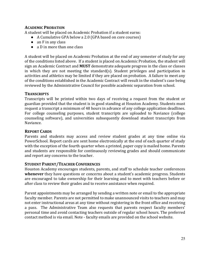# **ACADEMIC PROBATION**

A student will be placed on Academic Probation if a student earns:

- A Cumulative GPA below a 2.0 (GPA based on core courses)
- $\bullet$  an F in any class
- a D in more than one class

A student will be placed on Academic Probation at the end of any semester of study for any of the conditions listed above. If a student is placed on Academic Probation, the student will sign an Academic Contract and **MUST** demonstrate adequate progress in the class or classes in which they are not meeting the standard(s). Student privileges and participation in activities and athletics may be limited if they are placed on probation. A failure to meet any of the conditions established in the Academic Contract will result in the student's case being reviewed by the Administrative Council for possible academic separation from school.

#### **TRANSCRIPTS**

Transcripts will be printed within two days of receiving a request from the student or guardian provided that the student is in good standing at Houston Academy. Students must request a transcript a minimum of 48 hours in advance of any college application deadlines. For college counseling purposes, student transcripts are uploaded to Naviance (college counseling software), and universities subsequently download student transcripts from Naviance.

#### **REPORT CARDS**

Parents and students may access and review student grades at any time online via PowerSchool. Report cards are sent home electronically at the end of each quarter of study with the exception of the fourth quarter when a printed, paper copy is mailed home. Parents and students are responsible for continuously reviewing grades and should communicate and report any concerns to the teacher.

#### **STUDENT PARENT/TEACHER CONFERENCES**

Houston Academy encourages students, parents, and staff to schedule teacher conferences **whenever** they have questions or concerns about a student's academic progress. Students are encouraged to take ownership for their learning and to meet with teachers before or after class to review their grades and to receive assistance when required.

Parent appointments may be arranged by sending a written note or email to the appropriate faculty member. Parents are not permitted to make unannounced visits to teachers and may not enter instructional areas at any time without registering in the front office and receiving a pass. The Administrative Team also requests that parents respect faculty members' personal time and avoid contacting teachers outside of regular school hours. The preferred contact method is via email. Note - faculty emails are provided on the school website.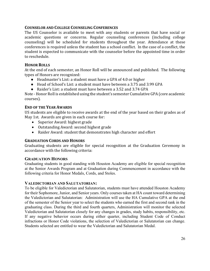#### **COUNSELOR AND COLLEGE COUNSELING CONFERENCES**

The US Counselor is available to meet with any students or parents that have social or academic questions or concerns. Regular counseling conferences (including college counseling) will be scheduled for students throughout the year. Attendance at these conferences is required unless the student has a school conflict. In the case of a conflict, the student is expected to communicate with the counselor before the appointed time in order to reschedule.

# **HONOR ROLLS**

At the end of each semester, an Honor Roll will be announced and published. The following types of Honors are recognized:

- Headmaster's List: a student must have a GPA of 4.0 or higher
- Head of School's List: a student must have between a 3.75 and 3.99 GPA
- Raider's List: a student must have between a 3.52 and 3.74 GPA

Note - Honor Roll is established using the student's semester Cumulative GPA (core academic courses).

#### **END OF THE YEAR AWARDS**

US students are eligible to receive awards at the end of the year based on their grades as of May 1st. Awards are given in each course for:

- Superior Award: highest grade
- Outstanding Award: second highest grade
- Raider Award: student that demonstrates high character and effort

#### **GRADUATION CORDS AND HONORS**

Graduating students are eligible for special recognition at the Graduation Ceremony in accordance with the following criteria:

#### **GRADUATION HONORS**

Graduating students in good standing with Houston Academy are eligible for special recognition at the Senior Awards Program and at Graduation during Commencement in accordance with the following criteria for Honor Medals, Cords, and Stoles.

#### **VALEDICTORIAN AND SALUTATORIAN:**

To be eligible for Valedictorian and Salutatorian, students must have attended Houston Academy for their Sophomore, Junior, and Senior years. Only courses taken at HA count toward determining the Valedictorian and Salutatorian: Administration will use the HA Cumulative GPA at the end of the semester of the Senior year to select the students who earned the first and second rank in the graduating class. During the third and fourth quarters, Administration will monitor the selected Valedictorian and Salutatorian closely for any changes in grades, study habits, responsibility, etc. If any negative behavior occurs during either quarter, including Student Code of Conduct infractions or Honor Code violations, the selection of Valedictorian or Salutatorian can change. Students selected are entitled to wear the Valedictorian and Salutatorian Medal.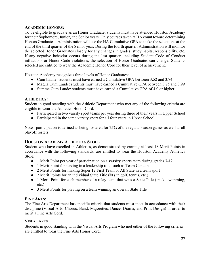# **ACADEMIC HONORS:**

To be eligible to graduate as an Honor Graduate, students must have attended Houston Academy for their Sophomore, Junior, and Senior years. Only courses taken at HA count toward determining Honors Graduates: Administration will use the HA Cumulative GPA to make the selections at the end of the third quarter of the Senior year. During the fourth quarter, Administration will monitor the selected Honor Graduates closely for any changes in grades, study habits, responsibility, etc. If any negative behavior occurs during the last quarter, including Student Code of Conduct infractions or Honor Code violations, the selection of Honor Graduates can change. Students selected are entitled to wear the Academic Honor Cord for their level of achievement.

Houston Academy recognizes three levels of Honor Graduates:

- Cum Laude: students must have earned a Cumulative GPA between 3.52 and 3.74
- Magna Cum Laude: students must have earned a Cumulative GPA between 3.75 and 3.99
- Summa Cum Laude: students must have earned a Cumulative GPA of 4.0 or higher

#### **ATHLETICS:**

Student in good standing with the Athletic Department who met any of the following criteria are eligible to wear the Athletics Honor Cord:

- Participated in two varsity sport teams per year during three of their years in Upper School
- Participated in the same varsity sport for all four years in Upper School

Note - participation is defined as being rostered for 75% of the regular season games as well as all playoff rosters.

#### **HOUSTON ACADEMY ATHLETICS STOLE**

Student who have excelled in Athletics, as demonstrated by earning at least 18 Merit Points in accordance with the following standards, are entitled to wear the Houston Academy Athletics Stole:

- 1 Merit Point per year of participation on a **varsity** sports team during grades 7-12
- 1 Merit Point for serving in a leadership role, such as Team Captain
- 2 Merit Points for making Super 12 First Team or All State in a team sport
- 2 Merit Points for an individual State Title (#1s in golf, tennis, etc.)
- 1 Merit Point for each member of a relay team that wins a State Title (track, swimming, etc.)
- 3 Merit Points for playing on a team winning an overall State Title

#### **FINE ARTS:**

The Fine Arts Department has specific criteria that students must meet in accordance with their discipline (Visual Arts, Chorus, Band, Majorettes, Dance, Drama, and Print Design) in order to merit a Fine Arts Cord.

#### **VISUAL ARTS**

Students in good standing with the Visual Arts Program who met either of the following criteria are entitled to wear the Fine Arts Honor Cord: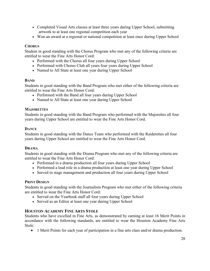- Completed Visual Arts classes at least three years during Upper School, submitting artwork to at least one regional competition each year
- Won an award at a regional or national competition at least once during Upper School

### **CHORUS**

Student in good standing with the Chorus Program who met any of the following criteria are entitled to wear the Fine Arts Honor Cord:

- Performed with the Chorus all four years during Upper School
- Performed with Chorus Club all years four years during Upper School
- Named to All State at least one year during Upper School

#### **BAND**

Students in good standing with the Band Program who met either of the following criteria are entitled to wear the Fine Arts Honor Cord:

- Performed with the Band all four years during Upper School
- Named to All State at least one year during Upper School

#### **MAJORETTES**

Students in good standing with the Band Program who performed with the Majorettes all four years during Upper School are entitled to wear the Fine Arts Honor Cord.

#### **DANCE**

Students in good standing with the Dance Team who performed with the Raiderettes all four years during Upper School are entitled to wear the Fine Arts Honor Cord.

#### **DRAMA**

Students in good standing with the Drama Program who met any of the following criteria are entitled to wear the Fine Arts Honor Cord:

- Performed in a drama production all four years during Upper School
- Performed a lead role in a drama production at least one year during Upper School
- Served in stage management and production all four years during Upper School

#### **PRINT DESIGN**

Students in good standing with the Journalism Program who met either of the following criteria are entitled to wear the Fine Arts Honor Cord:

- Served on the Yearbook staff all four years during Upper School
- Served as an Editor at least one year during Upper School

#### **HOUSTON ACADEMY FINE ARTS STOLE**

Students who have excelled in Fine Arts, as demonstrated by earning at least 16 Merit Points in accordance with the following standards, are entitled to wear the Houston Academy Fine Arts Stole:

• 1 Merit Points for each year of participation in a fine arts class and/or drama production.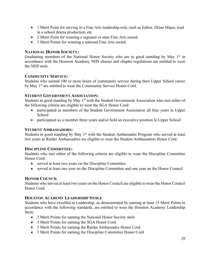- 1 Merit Point for serving in a Fine Arts leadership role, such as Editor, Drum Major, lead in a school drama production, etc.
- 2 Merit Point for winning a regional or state Fine Arts award.
- 3 Merit Points for winning a national Fine Arts award.

#### **NATIONAL HONOR SOCIETY:**

Graduating members of the National Honor Society who are in good standing by May  $1<sup>st</sup>$  in accordance with the Houston Academy NHS charter and chapter regulations are entitled to wear the NHS stole.

#### **COMMUNITY SERVICE:**

Students who earned 100 or more hours of community service during their Upper School career by May 1<sup>st</sup> are entitled to wear the Community Service Honor Cord.

# **STUDENT GOVERNMENT ASSOCIATION:**

Students in good standing by May 1<sup>st</sup> with the Student Government Association who met either of the following criteria are eligible to wear the SGA Honor Cord:

- participated as members of the Student Government Association all four years in Upper School
- participated as a member three years and/or held an executive position in Upper School

#### **STUDENT AMBASSADORS:**

Students in good standing by May 1<sup>st</sup> with the Student Ambassador Program who served at least two years as Raider Ambassadors are eligible to wear the Student Ambassadors Honor Cord.

#### **DISCIPLINE COMMITTEE:**

Students who met either of the following criteria are eligible to wear the Discipline Committee Honor Cord:

- served at least two years on the Discipline Committee
- served at least one year on the Discipline Committee and one year on the Honor Council

# **HONOR COUNCIL**

Students who served at least two years on the Honor Council are eligible to wear the Honor Council Honor Cord.

#### **HOUSTON ACADEMY LEADERSHIP STOLE**

Students who have excelled in Leadership, as demonstrated by earning at least 15 Merit Points in accordance with the following standards, are entitled to wear the Houston Academy Leadership Stole:

- 3 Merit Points for earning the National Honor Society stole
- 3 Merit Points for earning the SGA Honor Cord
- 3 Merit Points for earning the Raider Ambassador Honor Cord
- 3 Merit Points for earning the Discipline Committee Honor Cord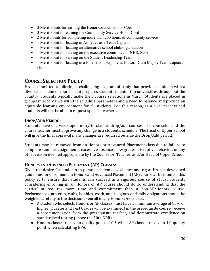- 3 Merit Points for earning the Honor Council Honor Cord
- 3 Merit Point for earning the Community Service Honor Cord
- 2 Merit Points for completing more than 200 hours of community service
- 1 Merit Point for leading in Athletics as a Team Captain
- 1 Merit Point for leading an alternative school club/organization
- 1 Merit Point for serving on the executive committee of NHS, SGA
- 1 Merit Point for serving on the Student Leadership Team
- 1 Merit Point for leading in a Fine Arts discipline as Editor, Drum Major, Team Captain, etc.

# **COURSE SELECTION POLICY**

HA is committed to offering a challenging program of study that provides students with a diverse selection of courses that prepares students to enter top universities throughout the country. Students typically make their course selections in March. Students are placed in groups in accordance with the schedule parameters and a need to balance and provide an equitable learning environment for all students. For this reason, as a rule, parents and students will not be able to request specific teachers.

#### **DROP/ADD PERIOD:**

Students have one week upon entry to class to drop/add courses. The counselor and the course teacher must approve any change in a student's schedule. The Head of Upper School will give the final approval if any changes are required outside the Drop/Add period.

Students may be removed from an Honors or Advanced Placement class due to failure to complete summer assignments, excessive absences, low grades, disruptive behavior, or any other reason deemed appropriate by the Counselor, Teacher, and/or Head of Upper School.

# **HONORS AND ADVANCED PLACEMENT (AP) CLASSES:**

Given the desire for students to pursue academic excellence and rigor, HA has developed guidelines for enrollment in Honors and Advanced Placement (AP) courses. The intent of this policy is to ensure that students can succeed in a rigorous course of study. Students considering enrolling in an Honors or AP course should do so understanding that the curriculum requires more time and commitment than a non-AP/Honors course. Performances, athletics, clubs, hobbies, work, and religious or family obligations should be weighed carefully in the decision to enroll in any Honors/AP course.

- A student who selects Honors or AP classes must have a minimum average of 85% or higher (Quarter and Test Grades will be examined) in the prerequisite course, receive a recommendation from the prerequisite teacher, and demonstrate excellence on standardized testing (above the 50th NPR).
- Honors classes receive a quality point of 0.5 while AP classes receive a 1.0 quality point when calculating GPA.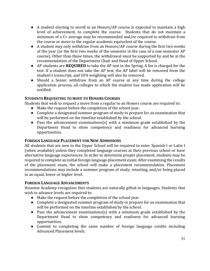- A student electing to enroll in an Honors/AP course is expected to maintain a high level of achievement, to complete the course. Students that do not maintain a minimum of a C+ average may be recommended and/or required to withdraw from the course or move to the regular academic equivalent of the course.
- A student may only withdraw from an Honors/AP course during the first two weeks of the year (or the first two weeks of the semester in the case of a one-semester AP course). Other than those times, the withdrawal must be supported by and be at the recommendation of the Department Chair and Head of Upper School.
- AP students are **REQUIRED** to take the AP test in the Spring. A fee is charged for the test. If a student does not take the AP test, the AP label will be removed from the student's transcript, and GPA weighting will also be removed.
- Should a Senior withdraw from an AP course at any time during the college application process, all colleges to which the student has made application will be notified.

# **STUDENTS REQUESTING TO MOVE TO HONORS COURSES**

Students that wish to request a move from a regular to an Honors course are required to:

- Make the request before the completion of the school year.
- Complete a designated summer program of study to prepare for an examination that will be performed on the timeline established by the school.
- Pass the advancement examinations(s) with a minimum grade established by the Department Head to show competency and readiness for advanced learning opportunities.

#### **FOREIGN LANGUAGE PLACEMENT FOR NEW ADMISSIONS**

All students that are new to the Upper School will be required to enter Spanish I or Latin I (when available) unless they completed language courses at their previous school or have alternative language experiences. In order to determine proper placement, students may be required to complete an initial foreign language placement exam. After examining the results of the placement exam, the school will make a placement recommendation. Placement recommendations may include a summer program of study, retesting, and/or being placed in an equal, lower or higher level.

#### **FOREIGN LANGUAGE ADVANCEMENTS**

Houston Academy recognizes that students are naturally gifted in languages. Students that wish to advance levels are required to:

- Make the request before the completion of the school year.
- Complete a designated summer program of study to prepare for an examination that will be performed on the timeline established by the school.
- Pass the advancement examinations(s) with a minimum grade established by the Department Head to show competency and readiness for advanced learning opportunities.
- Commit to completing the same number of foreign language credits including Advanced Placement levels.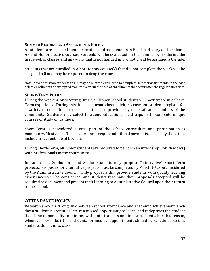#### **SUMMER READING AND ASSIGNMENTS POLICY**

All students are assigned summer reading and assignments in English, History and academic AP and Honor elective courses. Students will be evaluated on the summer work during the first week of classes and any work that is not handed in promptly will be assigned a 0 grade.

Students that are enrolled in AP or Honors course(s) that did not complete the work will be assigned a 0 and may be required to drop the course.

Note: New admission students to HA may be allotted extra time to complete summer assignments in the case of late enrollments or exempted from the work in the case of enrollments that occur after the regular start date.

#### **SHORT-TERM POLICY**

During the week prior to Spring Break, all Upper School students will participate in a Short-Term experience. During this time, all normal class activities cease and students register for a variety of educational experiences that are provided by our staff and members of the community. Students may select to attend educational field trips or to complete unique courses of study on campus.

Short-Term is considered a vital part of the school curriculum and participation is mandatory. Most Short-Term experiences require additional payments, especially those that include travel outside of Dothan.

During Short-Term, all Junior students are required to perform an internship (job shadows) with professionals in the community.

In rare cases, Sophomore and Senior students may propose "alternative" Short-Term projects. Proposals for alternative projects must be completed by March 1<sup>st</sup> to be considered by the Administrative Council. Only proposals that provide students with quality learning experiences will be considered, and students that have their proposals accepted will be required to document and present their learning to Administrative Council upon their return to the school.

# **ATTENDANCE POLICY**

Research shows a strong link between school attendance and academic achievement. Each day a student is absent or late is a missed opportunity to learn, and it deprives the student the of the opportunity to interact with both teachers and fellow students. For this reason, whenever possible, trips and dental or medical appointments should be scheduled so that students do not miss class.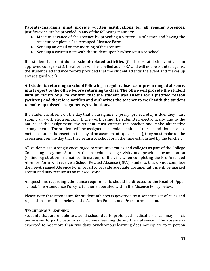**Parents/guardians must provide written justifications for all regular absences.** Justifications can be provided in any of the following manners:

- Made in advance of the absence by providing a written justification and having the student complete a Pre-Arranged Absence Form.
- Sending an email on the morning of the absence.
- Sending a written note with the student upon his/her return to school.

If a student is absent due to **school-related activities** (field trips, athletic events, or an approved college visit), the absence will be labelled as an SRA and will not be counted against the student's attendance record provided that the student attends the event and makes up any assigned work.

All students returning to school following a regular absence or pre-arranged absence, must report to the office before returning to class. The office will provide the student with an "Entry Slip" to confirm that the student was absent for a justified reason **(written)** and therefore notifies and authorizes the teacher to work with the student to make-up missed assignments/evaluations.

If a student is absent on the day that an assignment (essay, project, etc.) is due, they must submit all work electronically. If the work cannot be submitted electronically due to the nature of the assignment, the student must contact the teacher and make alternative arrangements. The student will be assigned academic penalties if these conditions are not met. If a student is absent on the day of an assessment (quiz or test), they must make up the assessment on the day that they return to school or at the time established by the teacher.

All students are strongly encouraged to visit universities and colleges as part of the College Counseling program. Students that schedule college visits and provide documentation (online registration or email confirmation) of the visit when completing the Pre-Arranged Absence Form will receive a School Related Absence (SRA). Students that do not complete the Pre-Arranged Absence Form or fail to provide adequate documentation, will be marked absent and may receive 0s on missed work.

All questions regarding attendance requirements should be directed to the Head of Upper School. The Attendance Policy is further elaborated within the Absence Policy below.

Please note that attendance for student-athletes is governed by a separate set of rules and regulations described below in the Athletics Policies and Procedures section.

#### **SYNCHRONOUS LEARNING**

Students that are unable to attend school due to prolonged medical absences may solicit permission to participate in synchronous learning during their absence if the absence is expected to last more than two days. Synchronous learning does not equate to in person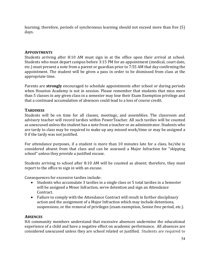learning; therefore, periods of synchronous learning should not exceed more than five (5) days.

# **APPOINTMENTS**

Students arriving after 8:10 AM must sign in at the office upon their arrival at school. Students who must depart campus before 3:15 PM for an appointment (medical, court date, etc.) must present a note from a parent or guardian prior to 7:55 AM that day confirming the appointment. The student will be given a pass in order to be dismissed from class at the appropriate time.

Parents are **strongly** encouraged to schedule appointments after school or during periods when Houston Academy is not in session. Please remember that students that miss more than 5 classes in any given class in a semester may lose their Exam Exemption privilege and that a continued accumulation of absences could lead to a loss of course credit.

# **TARDINESS**

Students will be on time for all classes, meetings, and assemblies. The classroom and advisory teacher will record tardies within PowerTeacher. All such tardies will be counted as unexcused unless the student has a note from a teacher or an administrator. Students who are tardy to class may be required to make up any missed work/time or may be assigned a 0 if the tardy was not justified.

For attendance purposes, if a student is more than 10 minutes late for a class, he/she is considered absent from that class and can be assessed a Major Infraction for "skipping school" unless they provide a justified excuse.

Students arriving to school after 8:10 AM will be counted as absent; therefore, they must report to the office to sign in with an excuse.

Consequences for excessive tardies include:

- Students who accumulate 3 tardies in a single class or 5 total tardies in a Semester will be assigned a Minor Infraction, serve detention and sign an Attendance Contract.
- Failure to comply with the Attendance Contract will result in further disciplinary action and the assignment of a Major Infraction which may include detentions, suspensions, or the removal of privileges (exam exemption, Senior free period, etc.).

#### **ABSENCES**

HA community members understand that excessive absences undermine the educational experience of a child and have a negative effect on academic performance. All absences are considered unexcused unless they are school related or justified. Students are required to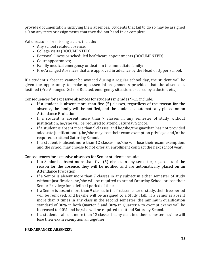provide documentation justifying their absences. Students that fail to do so may be assigned a 0 on any tests or assignments that they did not hand in or complete.

Valid reasons for missing a class include:

- Any school related absence;
- College visits (DOCUMENTED);
- Personal illness or scheduled healthcare appointments (DOCUMENTED);
- Court appearances:
- Family medical emergency or death in the immediate family;
- Pre-Arranged Absences that are approved in advance by the Head of Upper School.

If a student's absence cannot be avoided during a regular school day, the student will be given the opportunity to make up essential assignments provided that the absence is justified (Pre-Arranged, School Related, emergency situation, excused by a doctor, etc.).

Consequences for excessive absences for students in grades 9-11 include:

- If a student is absent more than five (5) classes, regardless of the reason for the absence, the family will be notified, and the student is automatically placed on an Attendance Probation.
- If a student is absent more than 7 classes in any semester of study without justification, he/she will be required to attend Saturday School.
- If a student is absent more than 9 classes, and he/she/the guardian has not provided adequate justification(s), he/she may lose their exam exemption privilege and/or be required to attend Saturday School.
- If a student is absent more than 12 classes, he/she will lose their exam exemption, and the school may choose to not offer an enrollment contract the next school year.

Consequences for excessive absences for Senior students include:

- If a Senior is absent more than five (5) classes in any semester, regardless of the reason for the absence, they will be notified and are automatically placed on an Attendance Probation.
- If a Senior is absent more than 7 classes in any subject in either semester of study without justification, he/she will be required to attend Saturday School or lose their Senior Privilege for a defined period of time.
- If a Senior is absent more than 9 classes in the first semester of study, their free period will be removed, and he/she will be assigned to a Study Hall. If a Senior is absent more than 9 times in any class in the second semester, the minimum qualification standard of 80% in both Quarter 3 and 80% in Quarter 4 to exempt exams will be increased to 90% and he/she will be required to attend Saturday School.
- If a student is absent more than 12 classes in any class in either semester, he/she will lose their exam exemption all together.

# **PRE-ARRANGED ABSENCES:**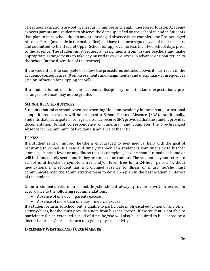The school's vacations are both generous in number and length; therefore, Houston Academy expects parents and students to observe the dates specified on the school calendar. Students that plan to miss school due to any pre-arranged absence must complete the Pre-Arranged Absence Form (available in the main office) and have the form signed by all of their teachers and submitted to the Head of Upper School for approval no less than two school days prior to the absence. The student must request all assignments from his/her teachers and make appropriate arrangements to take any missed tests or quizzes in advance or upon return to the school (at the discretion of the teacher).

If the student fails to complete or follow the procedures outlined above, it may result in the academic consequences (0 on assessments and assignments) and disciplinary consequences (Major Infraction for skipping school).

If a student is not meeting the academic, disciplinary, or attendance expectations, prearranged absences may not be granted.

# **SCHOOL RELATED ABSENCES:**

Students that miss school when representing Houston Academy in local, state, or national competitions or events will be assigned a School Related Absence (SRA). Additionally, students that participate in college visits may receive SRA provided that the student provides documentation (email correspondence or itinerary) and completes the Pre-Arranged Absence form a minimum of two days in advance of the visit.

# **ILLNESS**

If a student is ill or injured, he/she is encouraged to seek medical help with the goal of returning to school in a safe and timely manner. If a student is vomiting, sick to his/her stomach, or has a fever or any illness that is contagious, he/she should remain at home or will be immediately sent home if they are present on campus. The student may not return to school until he/she is symptom free and/or fever free for a 24-hour period (without medication). If a student has a prolonged absence to illness or injury, he/she must communicate with the administrative team to develop a plan in the best academic interest of the student.

Upon a student's return to school, he/she should always provide a written excuse in accordance to the following recommendations:

- $\bullet$  Absence of one day = parents excuse
- $\bullet$  Absence of more than one day = medical excuse

If a student returns to school but is unable to participate in physical education or any other activity/class, he/she must provide a note from his/her doctor. If the student is not able to participate for an extended period of time, he/she will also be required to be cleared by a doctor before he/she can return to regular physical activity.

# **INCLEMENT WEATHER AND FORCE MAJEURE**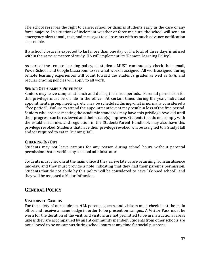The school reserves the right to cancel school or dismiss students early in the case of any force majeure. In situations of inclement weather or force majeure, the school will send an emergency alert (email, text, and message) to all parents with as much advance notification as possible.

If a school closure is expected to last more than one day or if a total of three days is missed within the same semester of study, HA will implement its "Remote Learning Policy".

As part of the remote learning policy, all students MUST continuously check their email, PowerSchool, and Google Classroom to see what work is assigned. All work assigned during remote learning experiences will count toward the student's grades as well as GPA, and regular grading policies will apply to all work.

# **SENIOR OFF-CAMPUS PRIVILEGES**

Seniors may leave campus at lunch and during their free periods. Parental permission for this privilege must be on file in the office. At certain times during the year, individual appointments, group meetings, etc. may be scheduled during what is normally considered a "free period". Failure to attend the appointment/event may result in loss of the free period. Seniors who are not meeting the academic standards may have this privilege revoked until their progress can be reviewed and their grade(s) improve. Students that do not comply with the established rules and regulation in the Student/Parent Handbook may also have this privilege revoked. Students that have their privilege revoked will be assigned to a Study Hall and/or required to eat in Dunning Hall.

#### **CHECKING IN/OUT**

Students may not leave campus for any reason during school hours without parental permission that is verified by a school administrator.

Students must check in at the main office if they arrive late or are returning from an absence mid-day, and they must provide a note indicating that they had their parent's permission. Students that do not abide by this policy will be considered to have "skipped school", and they will be assessed a Major Infraction.

# **GENERAL POLICY**

# **VISITORS TO CAMPUS**

For the safety of our students, ALL parents, guests, and visitors must check in at the main office and receive a name badge in order to be present on campus. A Visitor Pass must be worn for the duration of the visit, and visitors are not permitted to be in instructional areas unless they are accompanied by an HA community member. Students from other schools are not allowed to be on campus during school hours at any time for social purposes.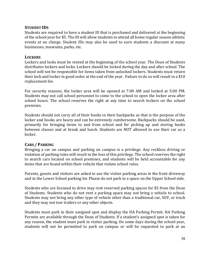#### **STUDENT IDS**

Students are required to have a student ID that is purchased and delivered at the beginning of the school year for \$5. The ID will allow students to attend all home regular season athletic events at no charge. Student IDs may also be used to earn students a discount at many businesses, museums, parks, etc.

#### **LOCKERS**

Lockers and locks must be rented at the beginning of the school year. The Dean of Students distributes lockers and locks. Lockers should be locked during the day and after school. The school will not be responsible for items taken from unlocked lockers. Students must return their lock and locker in good order at the end of the year. Failure to do so will result in a \$10 replacement fee.

For security reasons, the locker area will be opened at 7:00 AM and locked at 5:00 PM. Students may not call school personnel to come to the school to open the locker area after school hours. The school reserves the right at any time to search lockers on the school premises. 

Students should not carry all of their books in their backpacks as that is the purpose of the locker and books are heavy and can be extremely cumbersome. Backpacks should be used, primarily for bringing items to and from school and for picking up and storing books between classes and at break and lunch. Students are NOT allowed to use their car as a locker.

#### **CARS / PARKING**

Bringing a car on campus and parking on campus is a privilege. Any reckless driving or violation of parking rules will result in the loss of this privilege. The school reserves the right to search cars located on school premises, and students will be held accountable for any items that are found within their vehicle that violate school rules.

Parents, guests and visitors are asked to use the visitor parking areas in the front driveway and in the Lower School parking lot. Please do not park in a space on the Upper School side.

Students who are licensed to drive may rent reserved parking spaces for \$5 from the Dean of Students. Students who do not rent a parking space may not bring a vehicle to school. Students may not bring any other type of vehicle other than a traditional car, SUV, or truck and they may not tow trailers or any other objects.

Students must park in their assigned spot and display the HA Parking Permit. HA Parking Permits are available through the Dean of Students. If a student's assigned spot is taken for any reason, the student must park in visitor parking. On some days during the school year, students will not be permitted to park on campus or will be requested to park at an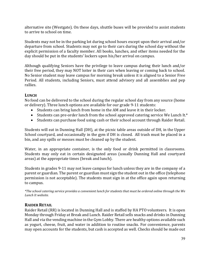alternative site (Westgate). On these days, shuttle buses will be provided to assist students to arrive to school on time.

Students may not be in the parking lot during school hours except upon their arrival and/or departure from school. Students may not go to their cars during the school day without the explicit permission of a faculty member. All books, lunches, and other items needed for the day should be put in the students' lockers upon his/her arrival on campus.

Although qualifying Seniors have the privilege to leave campus during their lunch and/or their free period, they may NOT loiter in their cars when leaving or coming back to school. No Senior student may leave campus for morning break unless it is aligned to a Senior Free Period. All students, including Seniors, must attend advisory and all assemblies and pep rallies.

# **LUNCH**

No food can be delivered to the school during the regular school day from any source (home or delivery). Three lunch options are available for our grade 9-11 students:

- Students can bring lunch from home in the AM and leave it in their locker.
- Students can pre-order lunch from the school approved catering service We Lunch It. $*$
- Students can purchase food using cash or their school account through Raider Retail.

Students will eat in Dunning Hall (DH), at the picnic table areas outside of DH, in the Upper School courtyard, and occasionally in the gym if DH is closed. All trash must be placed in a bin, and any spills or messes must be cleaned up by the student.

Water, in an appropriate container, is the only food or drink permitted in classrooms. Students may only eat in certain designated areas (usually Dunning Hall and courtyard areas) at the appropriate times (break and lunch).

Students in grades 9-11 may not leave campus for lunch unless they are in the company of a parent or guardian. The parent or guardian must sign the student out in the office (telephone permission is not acceptable). The students must sign in at the office again upon returning to campus.

*\*The school catering service provides a convenient lunch for students that must be ordered online through the We*  Lunch It website.

# **RAIDER RETAIL**

Raider Retail (RR) is located in Dunning Hall and is staffed by HA PTO volunteers. It is open Monday through Friday at Break and Lunch. Raider Retail sells snacks and drinks in Dunning Hall and via the vending machine in the Gym Lobby. There are healthy options available such as yogurt, cheese, fruit, and water in addition to routine snacks. For convenience, parents may open accounts for the students, but cash is accepted as well. Checks should be made out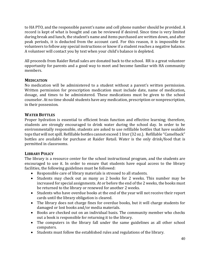to HA PTO, and the responsible parent's name and cell phone number should be provided. A record is kept of what is bought and can be reviewed if desired. Since time is very limited during break and lunch, the student's name and items purchased are written down, and after peak periods, it is deducted from the account card. For this reason, it is impossible for volunteers to follow any special instructions or know if a student reaches a negative balance. A volunteer will contact you by text when your child's balance is depleted.

All proceeds from Raider Retail sales are donated back to the school. RR is a great volunteer opportunity for parents and a good way to meet and become familiar with HA community members. 

# **MEDICATION**

No medication will be administered to a student without a parent's written permission. Written permission for prescription medication must include date, name of medication, dosage, and times to be administered. These medications must be given to the school counselor. At no time should students have any medication, prescription or nonprescription, in their possession.

# **WATER BOTTLES**

Proper hydration is essential to efficient brain function and effective learning; therefore, students are strongly encouraged to drink water during the school day. In order to be environmentally responsible, students are asked to use refillable bottles that have sealable tops that will not spill. Refillable bottles cannot exceed 1 liter (32 oz.). Refillable "Camelback" bottles are available for purchase at Raider Retail. Water is the only drink/food that is permitted in classrooms.

# **LIBRARY POLICY**

The library is a resource center for the school instructional program, and the students are encouraged to use it. In order to ensure that students have equal access to the library facilities, the following guidelines must be followed:

- Responsible care of library materials is stressed to all students.
- Students may check out as many as 2 books for 2 weeks. This number may be increased for special assignments. At or before the end of the 2 weeks, the books must be returned to the library or renewed for another 2 weeks.
- Students who have overdue books at the end of the year will not receive their report cards until the library obligation is cleared.
- The library does not charge fines for overdue books, but it will charge students for damaged or lost books and/or media materials.
- Books are checked out on an individual basis. The community member who checks out a book is responsible for returning it to the library.
- The computers in the library fall under the same guidelines as all other school computers.
- Students must follow the established rules and regulations of the library.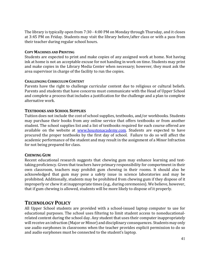The library is typically open from 7:30 - 4:00 PM on Monday through Thursday, and it closes at 3:45 PM on Friday. Students may visit the library before/after class or with a pass from their teacher during regular school hours.

#### **COPY MACHINES AND PRINTING**

Students are expected to print and make copies of any assigned work at home. Not having ink at home is not an acceptable excuse for not handing in work on time. Students may print and make copies in the Library Media Center when necessary; however, they must ask the area supervisor in charge of the facility to run the copies.

#### **CHALLENGING CURRICULUM CONTENT**

Parents have the right to challenge curricular content due to religious or cultural beliefs. Parents and students that have concerns must communicate with the Head of Upper School and complete a process that includes a justification for the challenge and a plan to complete alternative work.

#### **TEXTBOOKS AND SCHOOL SUPPLIES**

Tuition does not include the cost of school supplies, textbooks, and/or workbooks. Students may purchase their books from any online service that offers textbooks or from another student. The school supplies list and a list of textbooks required for each course offered are available on the website at www.houstonacademy.com. Students are expected to have procured the proper textbooks by the first day of school. Failure to do so will affect the academic performance of the student and may result in the assignment of a Minor Infraction for not being prepared for class.

#### **CHEWING GUM**

Recent educational research suggests that chewing gum may enhance learning and testtaking proficiency. Given that teachers have primary responsibility for comportment in their own classroom, teachers may prohibit gum chewing in their rooms. It should also be acknowledged that gum may pose a safety issue in science laboratories and may be prohibited. Additionally, students may be prohibited from chewing gum if they dispose of it improperly or chew it at inappropriate times (e.g., during ceremonies). We believe, however, that if gum chewing is allowed, students will be more likely to dispose of it properly.

# **TECHNOLOGY POLICY**

All Upper School students are provided with a school-issued laptop computer to use for educational purposes. The school uses filtering to limit student access to noneducationalrelated content during the school day. Any student that uses their computer inappropriately will receive an infraction (Major or Minor) and disciplinary consequences. Students may only use audio earphones in classrooms when the teacher provides explicit permission to do so and audio earphones must be connected to the student's laptop.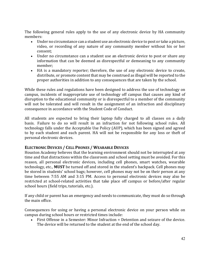The following general rules apply to the use of any electronic device by HA community members:

- Under no circumstance can a student use an electronic device to post or take a picture, video, or recording of any nature of any community member without his or her consent;
- Under no circumstance can a student use an electronic device to post or share any information that can be deemed as disrespectful or demeaning to any community member;
- HA is a mandatory reporter; therefore, the use of any electronic device to create, distribute, or promote content that may be construed as illegal will be reported to the proper authorities in addition to any consequences that are taken by the school.

While these rules and regulations have been designed to address the use of technology on campus, incidents of inappropriate use of technology off campus that causes any kind of disruption to the educational community or is disrespectful to a member of the community will not be tolerated and will result in the assignment of an infraction and disciplinary consequence in accordance with the Student Code of Conduct.

All students are expected to bring their laptop fully charged to all classes on a daily basis. Failure to do so will result in an infraction for not following school rules. All technology falls under the Acceptable Use Policy (AUP), which has been signed and agreed to by each student and each parent. HA will not be responsible for any loss or theft of personal electronic devices.

# **ELECTRONIC DEVICES / CELL PHONES / WEARABLE DEVICES**

Houston Academy believes that the learning environment should not be interrupted at any time and that distractions within the classroom and school setting must be avoided. For this reason, all personal electronic devices, including cell phones, smart watches, wearable technology, etc., **MUST** be turned off and stored in the student's backpack. Cell phones may be stored in students' school bags; however, cell phones may not be on their person at any time between 7:55 AM and 3:15 PM. Access to personal electronic devices may also be restricted at school-related activities that take place off campus or before/after regular school hours (field trips, tutorials, etc.).

If any child or parent has an emergency and needs to communicate, they must do so through the main office.

Consequences for using or having a personal electronic device on your person while on campus during school hours or restricted times include:

• First Offense in a Semester: Minor Infraction = Detention and seizure of the device. The device will be returned to the student at the end of the school day.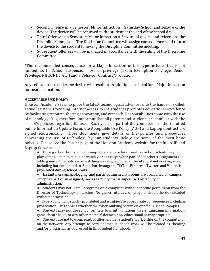- Second Offense in a Semester: Minor Infraction = Saturday School and seizure of the device. The device will be returned to the student at the end of the school day.
- Third Offense in a Semester: Major Infraction = Seizure of device and referral to the Discipline Committee. The Discipline Committee will assign consequences and return the device to the student following the Discipline Committee meeting.
- Subsequent offenses will be managed in accordance with the ruling of the Discipline Committee.

\*The recommended consequence for a Major Infraction of this type includes but is not limited to: In School Suspension, loss of privilege (Exam Exemption Privilege, Senior Privilege, NJHS/NHS, etc.) and a Behavior Contract/Probation.

Any refusal to surrender the device will result in an additional referral for a Major Infraction for insubordination.

# **ACCEPTABLE USE POLICY**

Houston Academy seeks to place the latest technological advances into the hands of skilled, active learners. Providing Internet access to HA students promotes educational excellence by facilitating resource sharing, innovation, and research. Responsibilities come with the use of technology. It is, therefore, important that all parents and students are familiar with the school's policies regarding its use. Each year, as part of the completion of the required online Information Update Form, the Acceptable Use Policy (AUP) and Laptop Contract are signed electronically. Those documents give details of the policies and procedures concerning the use of technology by our students. Below are some of the most basic policies. Please see the Parent page of the Houston Academy website for the full AUP and Laptop Contract.

• During school hours, school computers are for educational use only. Students may not play games, listen to music, or watch videos except when part of a teacher's assignment (i.e. adding music to an iMovie or watching an assigned video). Use of social networking sites, including but not limited to, Snapchat, Instagram, TikTok, Pinterest, Twitter, and Vimeo, is prohibited during school hours.

• Instant messaging, blogging, and participating in chat rooms are prohibited on campus except as part of an assigned, in-class activity that is supervised by faculty or administration.

• Students may not install programs on a computer without specific permission from the Director of Technology or teacher. No games, utilities, or plug-ins should be downloaded without permission.

• Cyber-bullying is strictly prohibited and is subject to appropriate consequences including prosecution. This applies whether the cyber-bullying occurs on or off our school campus.

• Students may not use school printers to print invitations, flyers, campaign information, game cheat sheets, or any other material deemed non-educational or inappropriate.

• Students are not to open, read, or alter another student's work either on the computer or on the network. Any attempt to copy another student's work will be treated as cheating and/or plagiarism as addressed in this Student Handbook.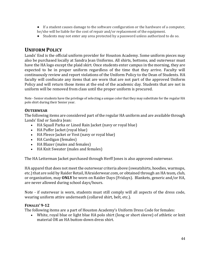- If a student causes damage to the software configuration or the hardware of a computer, he/she will be liable for the cost of repair and/or replacement of the equipment.
- Students may not enter any area protected by a password unless authorized to do so.

# **UNIFORM POLICY**

Lands' End is the official uniform provider for Houston Academy. Some uniform pieces may also be purchased locally at Sandra Jean Uniforms. All shirts, bottoms, and outerwear must have the HA logo except the plaid skirt. Once students enter campus in the morning, they are expected to be in proper uniform regardless of the time that they arrive. Faculty will continuously review and report violations of the Uniform Policy to the Dean of Students. HA faculty will confiscate any items that are worn that are not part of the approved Uniform Policy and will return those items at the end of the academic day. Students that are not in uniform will be removed from class until the proper uniform is procured.

Note - Senior students have the privilege of selecting a unique color that they may substitute for the regular HA polo shirt during their Senior year.

#### **OUTERWEAR**

The following items are considered part of the regular HA uniform and are available through Lands' End or Sandra Jean:

- HA Squall Parka or Lined Rain Jacket (navy or royal blue)
- HA Puffer Jacket (royal blue)
- HA Fleece Jacket or Vest (navy or royal blue)
- HA Cardigan (females)
- HA Blazer (males and females)
- HA Knit Sweater (males and females)

The HA Letterman Jacket purchased through Herff Jones is also approved outerwear.

HA apparel that does not meet the outerwear criteria above (sweatshirts, hoodies, warmups, etc.) that are sold by Raider Retail, HAraiderwear.com, or obtained through an HA team, club, or organization, may **ONLY** be worn on Raider Days (Fridays). Blankets, generic and/or HA, are never allowed during school days/hours.

Note - if outerwear is worn, students must still comply will all aspects of the dress code, wearing uniform attire underneath (collared shirt, belt, etc.).

#### **FEMALES' 9-12**

The following items are a part of Houston Academy's Uniform Dress Code for females:

• White, royal blue or light blue HA polo shirt (long or short sleeve) of athletic or knit material OR an HA button-down dress shirt.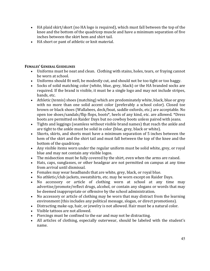- HA plaid skirt/skort (no HA logo is required), which must fall between the top of the knee and the bottom of the quadricep muscle and have a minimum separation of five inches between the skirt hem and shirt tail.
- HA short or pant of athletic or knit material.

# **FEMALES' GENERAL GUIDELINES**

- Uniforms must be neat and clean. Clothing with stains, holes, tears, or fraying cannot be worn at school.
- Uniforms should fit well, be modestly cut, and should not be too tight or too baggy.
- Socks of solid matching color (white, blue, grey, black) or the HA branded socks are required. If the brand is visible, it must be a single logo and may not include stripes, bands, etc.
- Athletic (tennis) shoes (matching) which are predominately white, black, blue or grey with no more than one solid accent color (preferably a school color). Closed toe brown or black shoes (Wallabees, deck/boat, saddle oxfords, etc.) are acceptable. No open toe shoes/sandals/flip flops, boots\*, heels of any kind, etc. are allowed. \*Dress boots are permitted on Raider Days but no cowboy boots unless paired with jeans.
- Tights and leggings (seamless without visible brand names) that reach the ankle and are tight to the ankle must be solid in color (blue, grey, black or white).
- Skorts, skirts, and shorts must have a minimum separation of 5 inches between the hem of the skirt and the shirt tail and must fall between the top of the knee and the bottom of the quadricep.
- Any visible items worn under the regular uniform must be solid white, grey, or royal blue and may not contain any visible logos.
- The midsection must be fully covered by the shirt, even when the arms are raised.
- Hats, caps, sunglasses, or other headgear are not permitted on campus at any time from arrival until dismissal.
- Females may wear headbands that are white, grey, black, or royal blue.
- No athletic/club jackets, sweatshirts, etc. may be worn except on Raider Days.
- No accessory or article of clothing worn at school at any time may advertise/promote/reflect drugs, alcohol, or contain any slogans or words that may be deemed inappropriate or offensive by the school administration.
- No accessory or article of clothing may be worn that may distract from the learning environment (this includes any political message, slogan, or direct promotions).
- Distracting make-up, hair, or jewelry is not allowed. Hair must be a natural color.
- Visible tattoos are not allowed.
- Piercings must be confined to the ear and may not be distracting.
- All articles of clothing, especially outerwear, should be labeled with the student's name.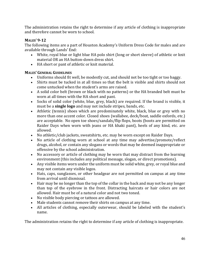The administration retains the right to determine if any article of clothing is inappropriate and therefore cannot be worn to school.

# **MALES' 9-12**

The following items are a part of Houston Academy's Uniform Dress Code for males and are available through Lands' End:

- White, royal blue or light blue HA polo shirt (long or short sleeve) of athletic or knit material OR an HA button-down dress shirt.
- HA short or pant of athletic or knit material.

# **MALES' GENERAL GUIDELINES**

- Uniforms should fit well, be modestly cut, and should not be too tight or too baggy.
- Shirts must be tucked in at all times so that the belt is visible and shirts should not come untucked when the student's arms are raised.
- A solid color belt (brown or black with no patterns) or the HA branded belt must be worn at all times with the HA short and pant.
- Socks of solid color (white, blue, grey, black) are required. If the brand is visible, it must be a **single logo** and may not include stripes, bands, etc.
- Athletic (tennis) shoes which are predominately white, black, blue or grey with no more than one accent color. Closed shoes (wallabee, deck/boat, saddle oxfords, etc.) are acceptable. No open toe shoes/sandals/flip flops, boots (boots are permitted on Raider Days when worn with jeans or HA khaki pant), heels of any kind, etc. are allowed.
- No athletic/club jackets, sweatshirts, etc. may be worn except on Raider Days.
- No article of clothing worn at school at any time may advertise/promote/reflect drugs, alcohol, or contain any slogans or words that may be deemed inappropriate or offensive by the school administration.
- No accessory or article of clothing may be worn that may distract from the learning environment (this includes any political message, slogan, or direct promotions).
- Any visible items worn under the uniform must be solid white, grey, or royal blue and may not contain any visible logos.
- Hats, caps, sunglasses, or other headgear are not permitted on campus at any time from arrival until dismissal.
- Hair may be no longer than the top of the collar in the back and may not be any longer than top of the eyebrow in the front. Distracting haircuts or hair colors are not allowed. Hair must be of a natural color and not two toned.
- No visible body piercing or tattoos are allowed.
- Male students cannot remove their shirts on campus at any time.
- All articles of clothing, especially outerwear, should be labeled with the student's name.

The administration retains the right to determine if any article of clothing is inappropriate.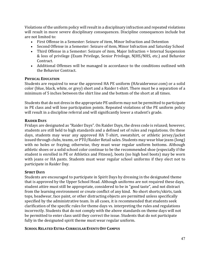Violations of the uniform policy will result in a disciplinary infraction and repeated violations will result in more severe disciplinary consequences. Discipline consequences include but are not limited to:

- First Offense in a Semester: Seizure of item, Minor Infraction and Detention
- Second Offense in a Semester: Seizure of item, Minor Infraction and Saturday School
- Third Offense in a Semester: Seizure of item, Major Infraction = Internal Suspension & loss of privilege (Exam Privilege, Senior Privilege, NJHS/NHS, etc.) and Behavior Contract.
- Additional Offenses will be managed in accordance to the conditions outlined with the Behavior Contract.

#### **PHYSICAL EDUCATION**

Students are required to wear the approved HA PE uniform (HAraiderwear.com) or a solid color (blue, black, white, or grey) short and a Raider t-shirt. There must be a separation of a minimum of 5 inches between the shirt line and the bottom of the short at all times.

Students that do not dress in the appropriate PE uniform may not be permitted to participate in PE class and will lose participation points. Repeated violations of the PE uniform policy will result in a discipline referral and will significantly lower a student's grade.

#### **RAIDER DAYS**

Fridays are designated as "Raider Days". On Raider Days, the dress code is relaxed; however, students are still held to high standards and a defined set of rules and regulations. On these days, students may wear any approved HA T-shirt, sweatshirt, or athletic jersey/jacket issued through clubs, teams, or PTO/Raider Retail sales. Students may wear blue jeans (long) with no holes or fraying; otherwise, they must wear regular uniform bottoms. Although athletic shoes or a solid school color continue to be the recommended shoe (especially if the student is enrolled in PE or Athletics and Fitness), boots (no high heel boots) may be worn with jeans or HA pants. Students must wear regular school uniforms if they elect not to participate in Raider Day.

#### **SPIRIT DAYS**

Students are encouraged to participate in Spirit Days by dressing in the designated theme that is approved by the Upper School Head. Although uniforms are not required these days, student attire must still be appropriate, considered to be in "good taste", and not distract from the learning environment or create conflict of any kind. No short shorts/skirts, tank tops, headwear, face paint, or other distracting objects are permitted unless specifically specified by the administrative team. In all cases, it is recommended that students seek clarification of the specific rules for theme days vs. interpreting the rules and regulations incorrectly. Students that do not comply with the above standards on theme days will not be permitted to enter class until they correct the issue. Students that do not participate fully in the designated spirit theme must wear regular uniform.

#### **SCHOOL RELATED EXTRA-CURRICULAR EVENTS OFF CAMPUS**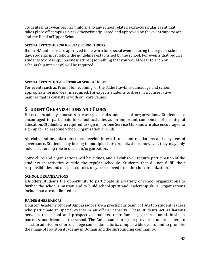Students must wear regular uniforms to any school related extra-curricular event that takes place off campus unless otherwise stipulated and approved by the event supervisor and the Head of Upper School.

#### **SPECIAL EVENTS DURING REGULAR SCHOOL HOURS**

If non-HA uniforms are approved to be worn for special events during the regular school day, students must follow the guidelines established by the school. For events that require students to dress up, "business attire" (something that you would wear to a job or scholarship interview) will be required.

#### **SPECIAL EVENTS OUTSIDE REGULAR SCHOOL HOURS**

For events such as Prom, Homecoming, or the Sadie Hawkins dance, age and school appropriate formal wear is required. HA expects students to dress in a conservative manner that is consistent with our core values.

# **STUDENT ORGANIZATIONS AND CLUBS**

Houston Academy sponsors a variety of clubs and school organizations. Students are encouraged to participate in school activities as an important component of an integral education. Students are required to sign up for one Service Club and are also encouraged to sign up for at least one School Organization or Club.

All clubs and organizations must develop internal rules and regulations and a system of governance. Students may belong to multiple clubs/organizations; however, they may only hold a leadership role in one club/organization.

Some clubs and organizations will have dues, and all clubs will require participation of the students in activities outside the regular schedule. Students that do not fulfill their responsibilities and designated roles may be removed from the club/organization.

#### **SCHOOL ORGANIZATIONS**

HA offers students the opportunity to participate in a variety of school organizations to further the school's mission and to build school spirit and leadership skills. Organizations include but are not limited to:

#### **RAIDER AMBASSADORS**

Houston Academy Student Ambassadors are a prestigious team of HA's top student leaders who participate in special events in an official capacity. These students act as liaisons between the school and prospective students, their families, guests, alumni, business partners, and friends of the school. The Ambassador program provides student leaders to assist in admission efforts, college connection efforts, campus wide events, and to promote the image of Houston Academy in Dothan and the surrounding community.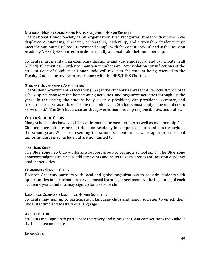#### **NATIONAL HONOR SOCIETY AND NATIONAL JUNIOR HONOR SOCIETY**

The National Honor Society is an organization that recognizes students that who have displayed outstanding, character, scholarship, leadership, and citizenship. Students must meet the minimum GPA requirement and comply with the conditions outlined in the Houston Academy NHS/NJHS Charter in order to qualify and maintain their membership.

Students must maintain an exemplary discipline and academic record and participate in all NHS/NJHS activities in order to maintain membership. Any violations or infractions of the Student Code of Conduct or Honor Code will result in the student being referred to the Faculty Council for review in accordance with the NHS/NJHS Charter.

#### **STUDENT GOVERNMENT ASSOCIATION**

The Student Government Association (SGA) is the students' representative body. It promotes school spirit, sponsors the homecoming activities, and organizes activities throughout the year. In the spring, the student body elects a president, vice-president, secretary, and treasurer to serve as officers for the upcoming year. Students must apply to be members to serve on SGA. The SGA has a charter that governs membership responsibilities and duties.

#### **OTHER SCHOOL CLUBS**

Many school clubs have specific requirements for membership as well as membership fees. Club members often represent Houston Academy in competitions or seminars throughout the school year. When representing the school, students must wear appropriate school uniforms. Clubs may include but are not limited to:

#### **THE BLUE ZONE**

The Blue Zone Pep Club works as a support group to promote school spirit. The Blue Zone sponsors tailgates at various athletic events and helps raise awareness of Houston Academy student activities.

#### **COMMUNITY SERVICE CLUBS**

Houston Academy partners with local and global organizations to provide students with opportunities to participate in service-based learning experiences. At the beginning of each academic year, students may sign up for a service club.

#### **LANGUAGE CLUBS AND LANGUAGE HONOR SOCIETIES**

Students may sign up to participate in language clubs and honor societies to enrich their understanding and mastery of a language.

#### **ARCHERY CLUB**

Students may sign up to participate in archery and represent HA at competitions throughout the local area and state.

#### **CHESS CLUB**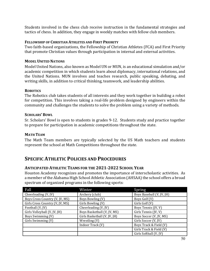Students involved in the chess club receive instruction in the fundamental strategies and tactics of chess. In addition, they engage in weekly matches with fellow club members.

# **FELLOWSHIP OF CHRISTIAN ATHLETES AND FIRST PRIORITY**

Two faith-based organizations, the Fellowship of Christian Athletes (FCA) and First Priority that promote Christian values through participation in internal and external activities.

# **MODEL UNITED NATIONS**

Model United Nations, also known as Model UN or MUN, is an educational simulation and/or academic competition in which students learn about diplomacy, international relations, and the United Nations. MUN involves and teaches research, public speaking, debating, and writing skills, in addition to critical thinking, teamwork, and leadership abilities.

# **ROBOTICS**

The Robotics club takes students of all interests and they work together in building a robot for competition. This involves taking a real-life problem designed by engineers within the community and challenges the students to solve the problem using a variety of methods.

# **SCHOLARS' BOWL**

Sr. Scholars' Bowl is open to students in grades 9-12. Students study and practice together to prepare for participation in academic competitions throughout the state.

# **MATH TEAM**

The Math Team members are typically selected by the US Math teachers and students represent the school at Math Competitions throughout the state.

# **SPECIFIC ATHLETIC POLICIES AND PROCEDURES**

# **ANTICIPATED ATHLETIC TEAMS FOR THE 2021-2022 SCHOOL YEAR**

Houston Academy recognizes and promotes the importance of interscholastic activities. As a member of the Alabama High School Athletic Association (AHSAA) the school offers a broad spectrum of organized programs in the following sports:

| Fall                            | Winter                       | Spring                    |
|---------------------------------|------------------------------|---------------------------|
| Cheerleading (V, JV)            | Archery (club)               | Boys Baseball (V, JV, JH) |
| Boys Cross Country (V, JV, MS)  | Boys Bowling (V)             | Boys Golf (V)             |
| Girls Cross Country (V, JV, MS) | Girls Bowling (V)            | Girls Golf (V)            |
| Football (V, JV)                | Cheerleading (V, JV)         | Boys Tennis (JV, V)       |
| Girls Volleyball (V, JV, JH)    | Boys Basketball (V, JV, MS)  | Girls Tennis (JV, V)      |
| Boys Swimming (V)               | Girls Basketball (V, JV, JH) | Boys Soccer (V, JV, MS)   |
| Girls Swimming (V)              | Wrestling (V)                | Girls Soccer (V, JV)      |
|                                 | Indoor Track (V)             | Boys Track & Field (V)    |
|                                 |                              | Girls Track & Field (V)   |
|                                 |                              | Girls Softball (V, JV)    |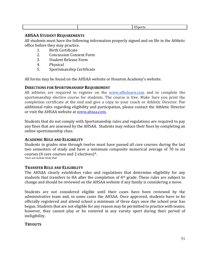|  |  |  | – <i>–</i><br>- - -<br>ווור |
|--|--|--|-----------------------------|
|--|--|--|-----------------------------|

### **AHSAA STUDENT REQUIREMENTS**

All students must have the following information properly signed and on file in the Athletic office before they may practice.

- 1. Birth Certificate
- 2. Concussion Consent Form
- 3. Student Release Form
- 4. Physical
- 5. Sportsmanship Certificate

All forms may be found on the AHSAA website or Houston Academy's website.

#### **DIRECTIONS FOR SPORTSMANSHIP REQUIREMENT**

All athletes are required to register on the www.nfhslearn.com and to complete the sportsmanship elective course for students. The course is free. Make Sure you print the completion certificate at the end and give a copy to your coach or Athletic Director. For additional rules regarding eligibility and participation, please contact the Athletic Director or visit the AHSAA website at www.ahsaa.com.

Students that do not comply with Sportsmanship rules and regulations are required to pay any fines that are assessed by the AHSAA. Students may reduce their fines by completing an online sportsmanship class.

#### **ACADEMIC RULE AND ELIGIBILITY**

Students in grades nine through twelve must have passed all core courses during the last two semesters of study and have a minimum composite numerical average of 70 in six courses  $(4 \text{ core courses}$  and  $2 \text{ electrodes}$ <sup>\*</sup>. \*does not include Study Hall

# **TRANSFER RULE AND ELIGIBILITY**

The AHSAA clearly establishes rules and regulations that determine eligibility for any students that transfers to HA after the completion of  $6<sup>th</sup>$  grade. These rules are subject to change and should be reviewed on the AHSAA website if any family is considering a move.

Students are not considered eligible until their cases have been reviewed by the administrative team and, in some cases the AHSAA. Once approved, students have to be officially registered and attend school a minimum of three days once the school year has begun. Students that are not eligible for any reason may be permitted to practice with teams; however, they cannot play or be rostered in any varsity sport during their period of ineligibility. 

#### **TRYOUTS**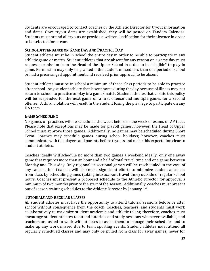Students are encouraged to contact coaches or the Athletic Director for tryout information and dates. Once tryout dates are established, they will be posted on Tandem Calendar. Students must attend all tryouts or provide a written justification for their absence in order to be selected for a team.

#### **SCHOOL ATTENDANCE ON GAME DAY AND PRACTICE DAY**

Student athletes must be in school the entire day in order to be able to participate in any athletic game or match. Student athletes that are absent for any reason on a game day must request permission from the Head of the Upper School in order to be "eligible" to play in game. Permission may only be granted if the student missed less than one period of school or had a prearranged appointment and received prior approval to be absent.

Student athletes must be in school a minimum of three class periods to be able to practice after school. Any student athlete that is sent home during the day because of illness may not return to school to practice or play in a game/match. Student athletes that violate this policy will be suspended for the next game on a first offense and multiple games for a second offense. A third violation will result in the student losing the privilege to participate on any HA team.

#### **GAME SCHEDULING**

No games or practices will be scheduled the week before or the week of exams or AP tests. Please note that exceptions may be made for playoff games; however, the Head of Upper School must approve those games. Additionally, no games may be scheduled during Short Term. Coaches may schedule games during school holidays; however, coaches must communicate with the players and parents before tryouts and make this expectation clear to student athletes.

Coaches ideally will schedule no more than two games a weekend ideally: only one away game that requires more than an hour and a half of total travel time and one game between Monday and Thursday. Only regional or sectional games will be rescheduled in the case of any cancellation. Coaches will also make significant efforts to minimize student absences from class by scheduling games (taking into account travel time) outside of regular school hours. Coaches must present a proposed schedule to the Athletic Director for approval a minimum of two months prior to the start of the season. Additionally, coaches must present out of season training schedules to the Athletic Director by January 1st.

#### **TUTORIALS AND REGULAR CLASSES**

All student athletes must have the opportunity to attend tutorial sessions before or after school without consequence from the coach. Coaches, teachers, and students must work collaboratively to maximize student academic and athletic talent; therefore, coaches must encourage student athletes to attend tutorials and study sessions whenever available, and teachers are asked to work with athletes to assist them to manage their schedules and to make up any work missed due to team sporting events. Student athletes must attend all regularly scheduled classes and may only be pulled from class for away games, never for